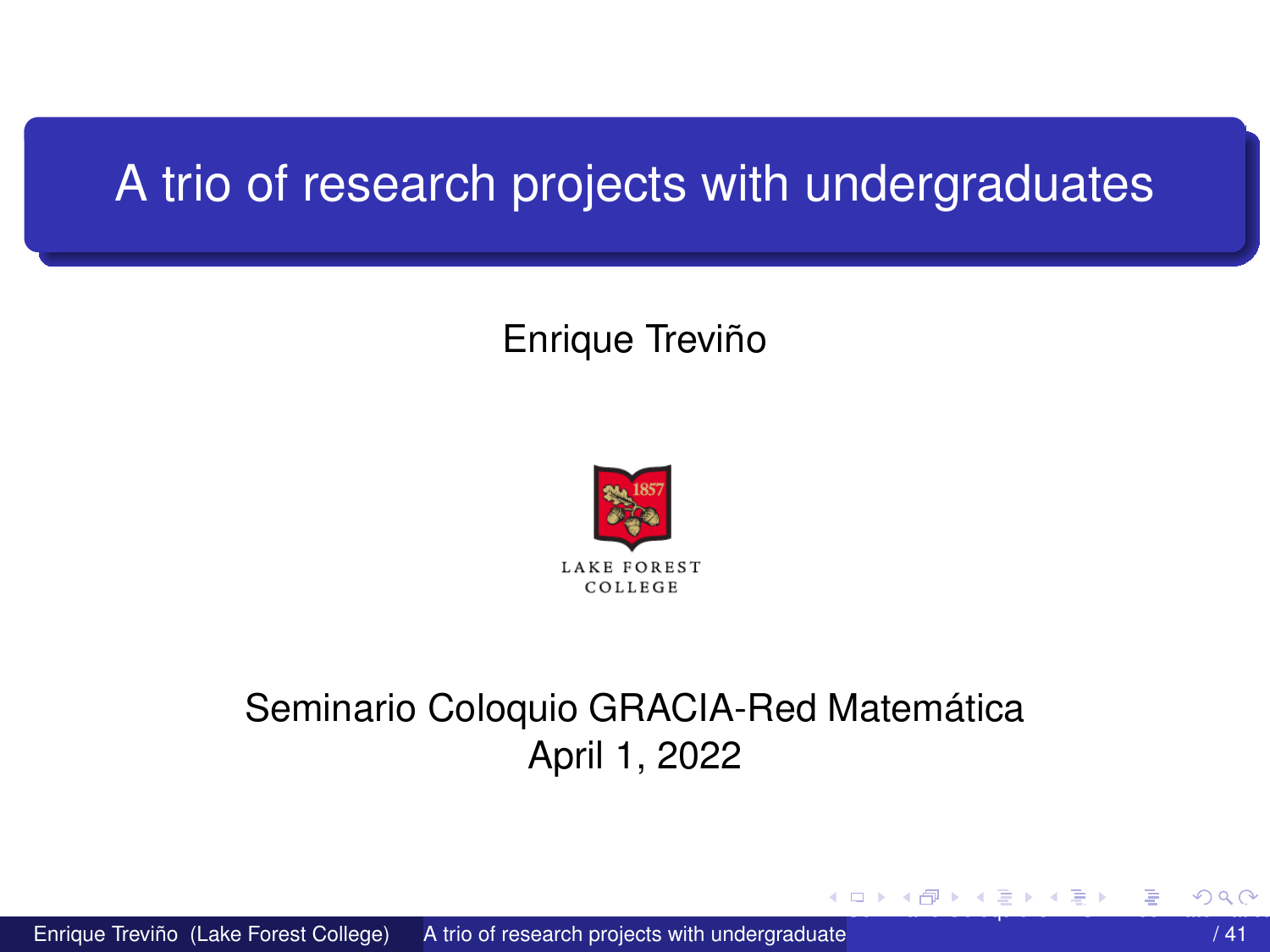## <span id="page-0-0"></span>A trio of research projects with undergraduates

#### Enrique Treviño



#### Seminario Coloquio GRACIA-Red Matemática April 1, 2022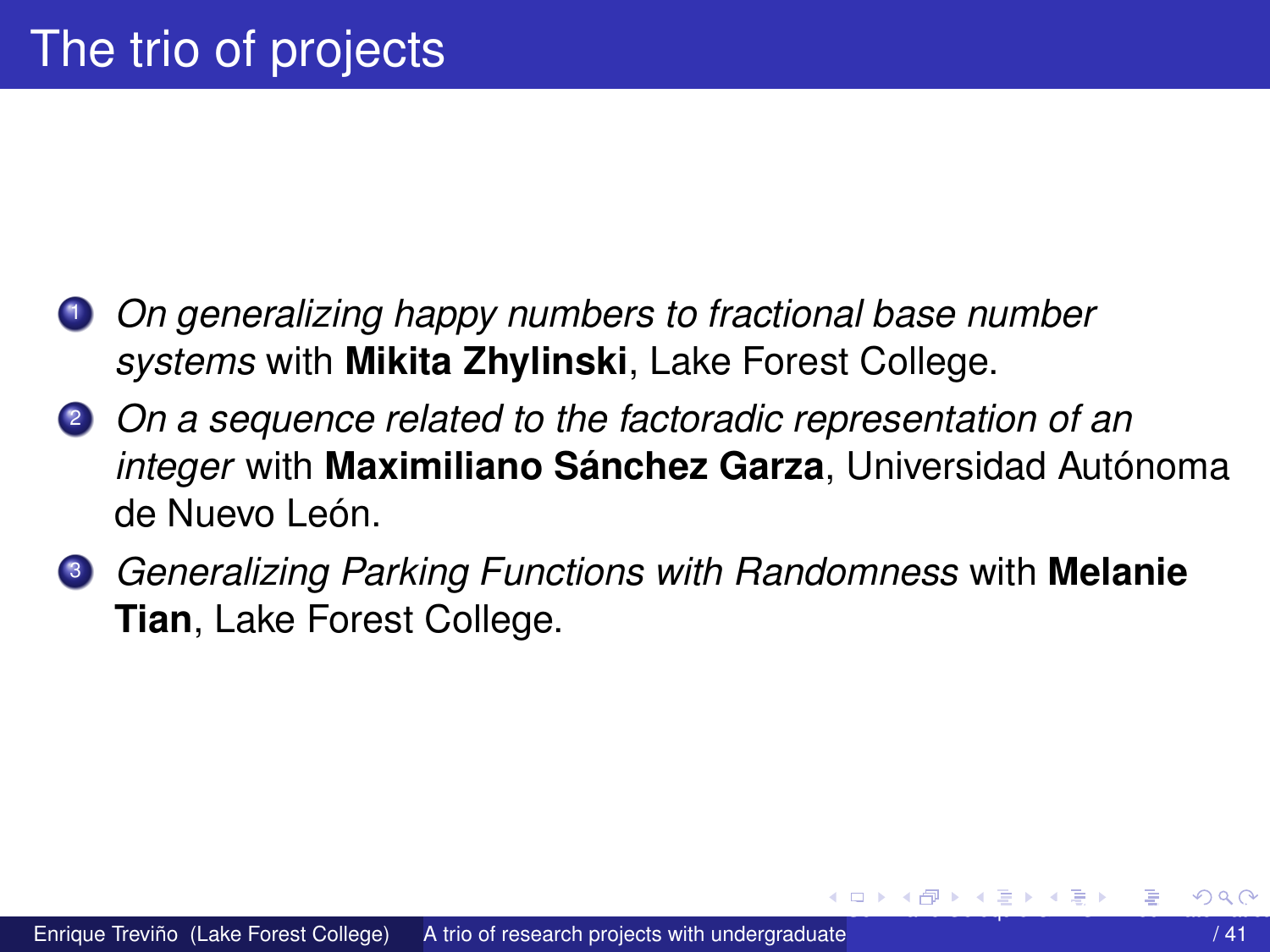- <span id="page-1-0"></span><sup>1</sup> *On generalizing happy numbers to fractional base number systems* with **Mikita Zhylinski**, Lake Forest College.
- <sup>2</sup> *On a sequence related to the factoradic representation of an integer* with **Maximiliano Sánchez Garza**, Universidad Autónoma de Nuevo León.
- <sup>3</sup> *Generalizing Parking Functions with Randomness* with **Melanie Tian**, Lake Forest College.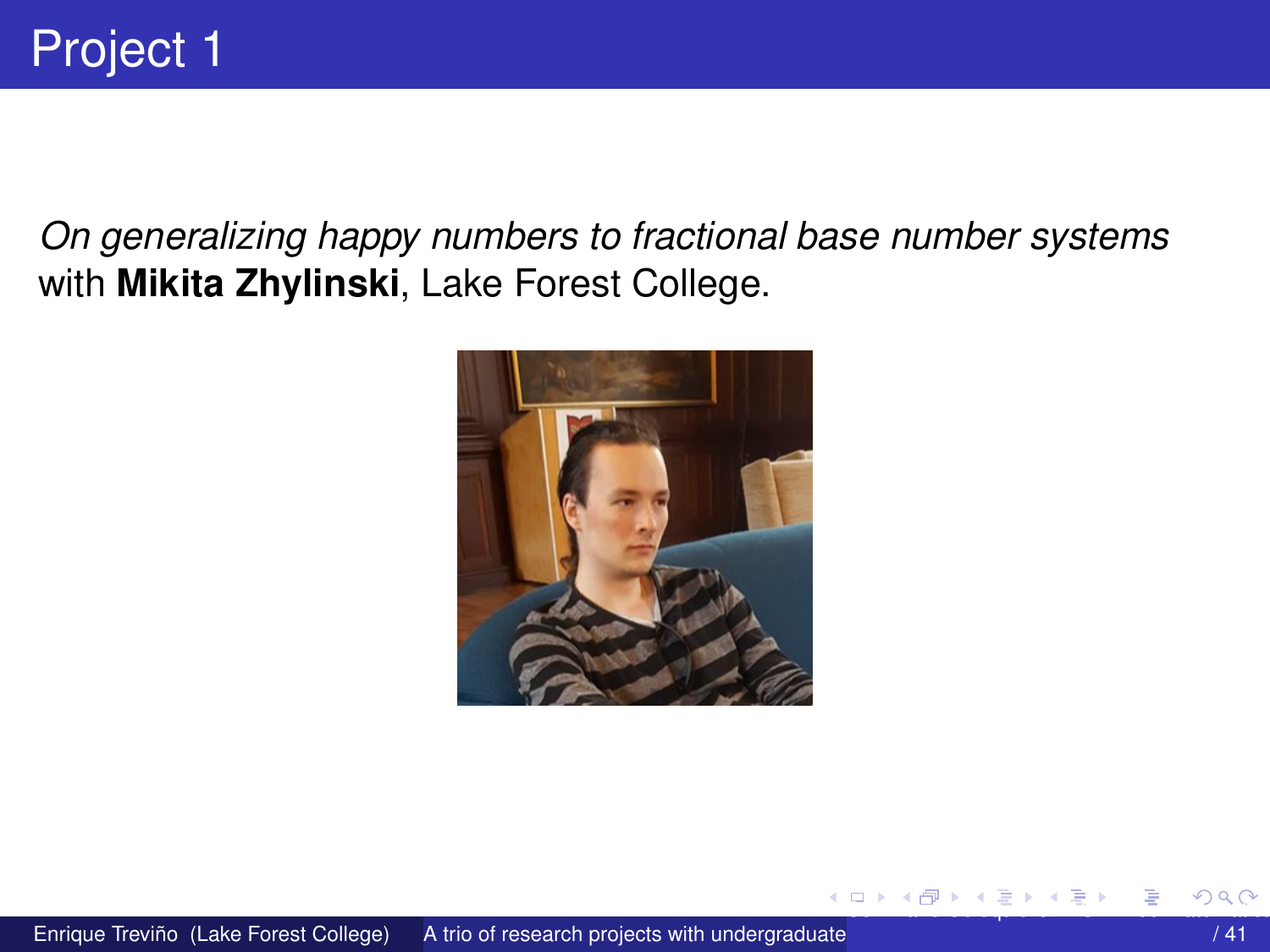<span id="page-2-0"></span>On generalizing happy numbers to fractional base number systems with Mikita Zhylinski, Lake Forest College.



4 17 18

 $\mathbf{A} \oplus \mathbf{B}$   $\mathbf{A} \oplus \mathbf{B}$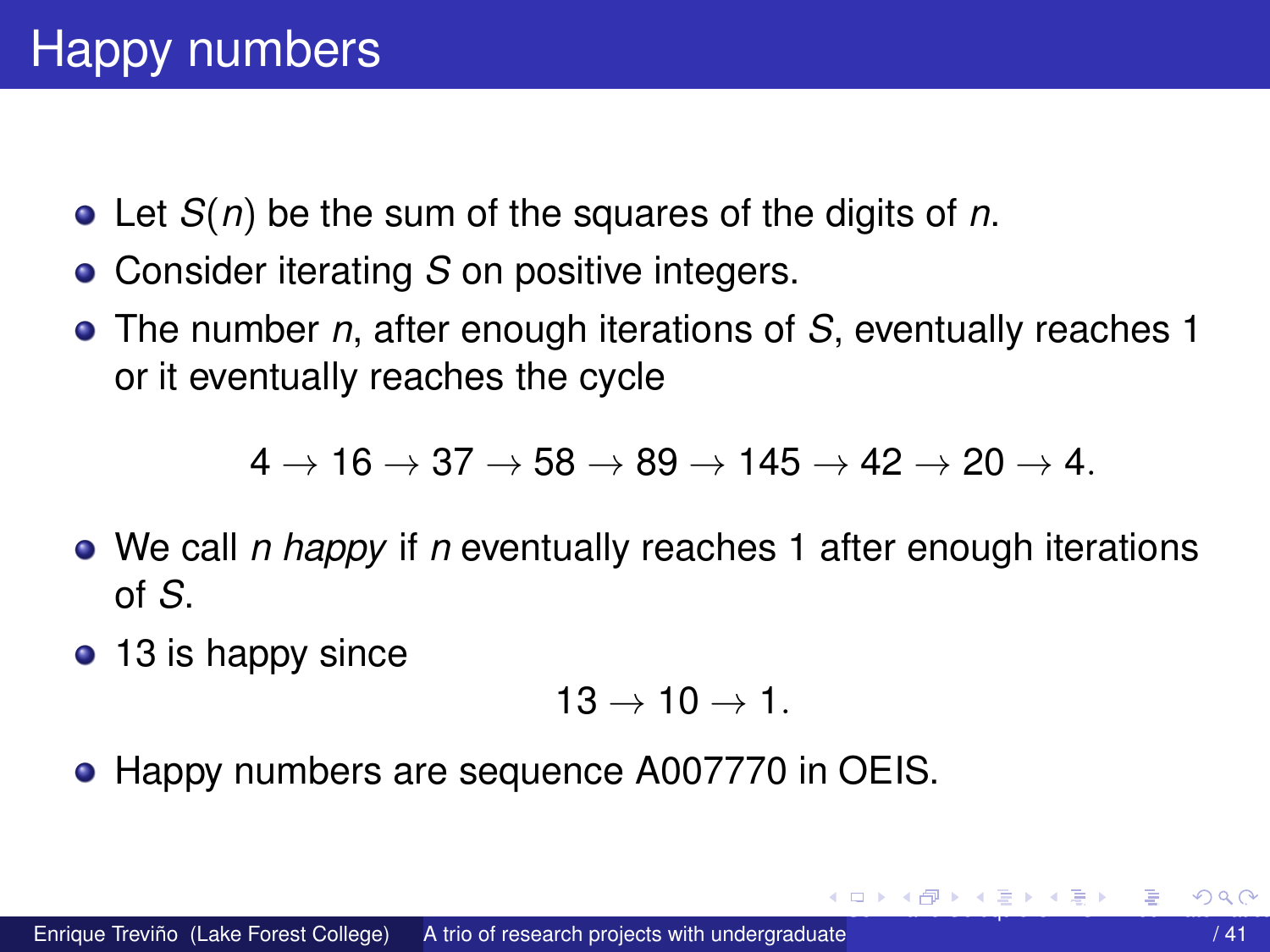- <span id="page-3-0"></span>Let *S*(*n*) be the sum of the squares of the digits of *n*.
- Consider iterating *S* on positive integers.
- The number *n*, after enough iterations of *S*, eventually reaches 1 or it eventually reaches the cycle

 $4 \rightarrow 16 \rightarrow 37 \rightarrow 58 \rightarrow 89 \rightarrow 145 \rightarrow 42 \rightarrow 20 \rightarrow 4.$ 

- We call *n happy* if *n* eventually reaches 1 after enough iterations of *S*.
- 13 is happy since

$$
13\rightarrow 10\rightarrow 1.
$$

• Happy numbers are sequence A007770 in OEIS.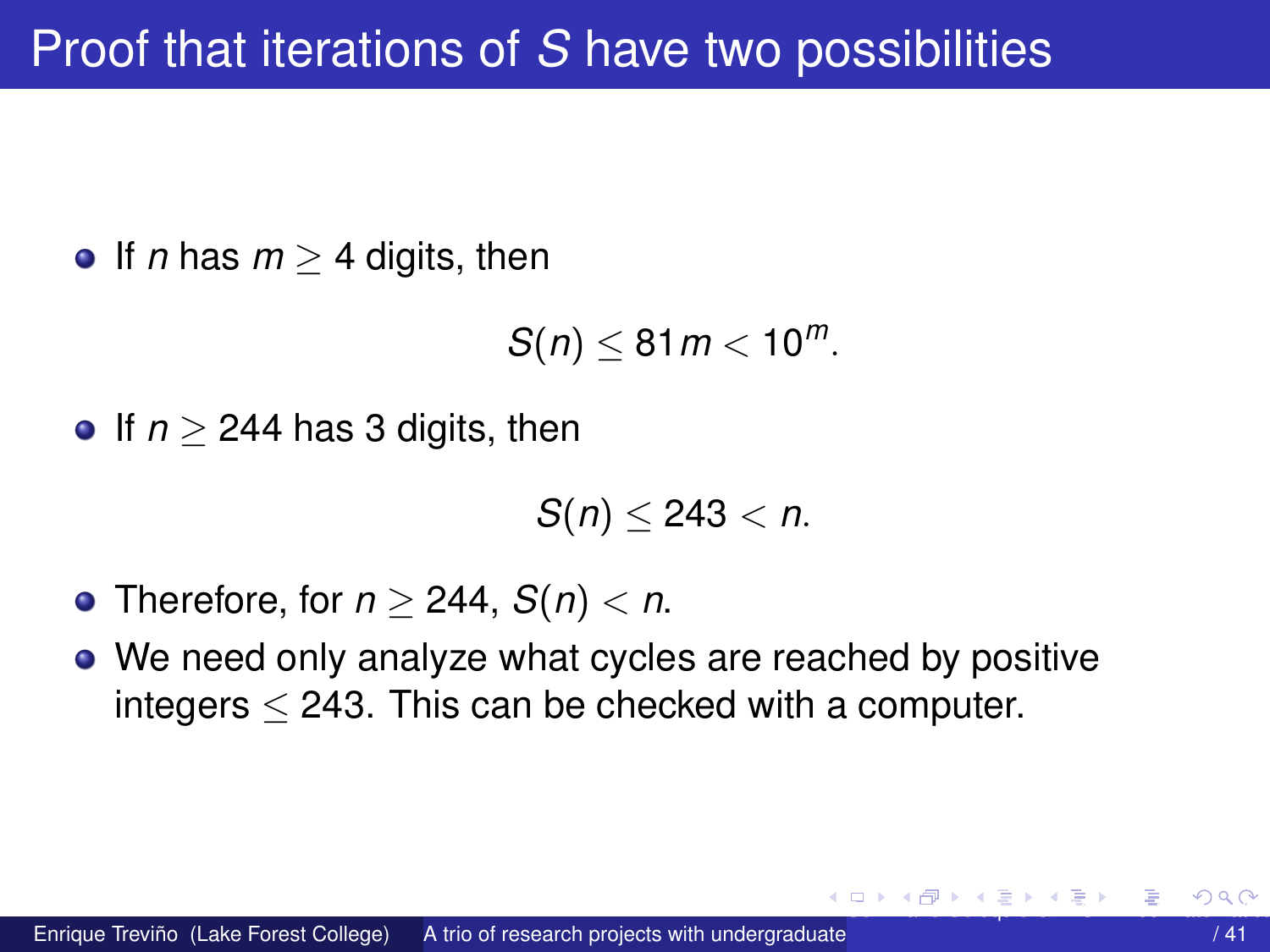<span id="page-4-0"></span>**•** If *n* has  $m > 4$  digits, then

$$
S(n)\leq 81m<10^m.
$$

**•** If  $n > 244$  has 3 digits, then

$$
S(n)\leq 243
$$

- Therefore, for  $n \ge 244$ ,  $S(n) < n$ .
- We need only analyze what cycles are reached by positive integers  $<$  243. This can be checked with a computer.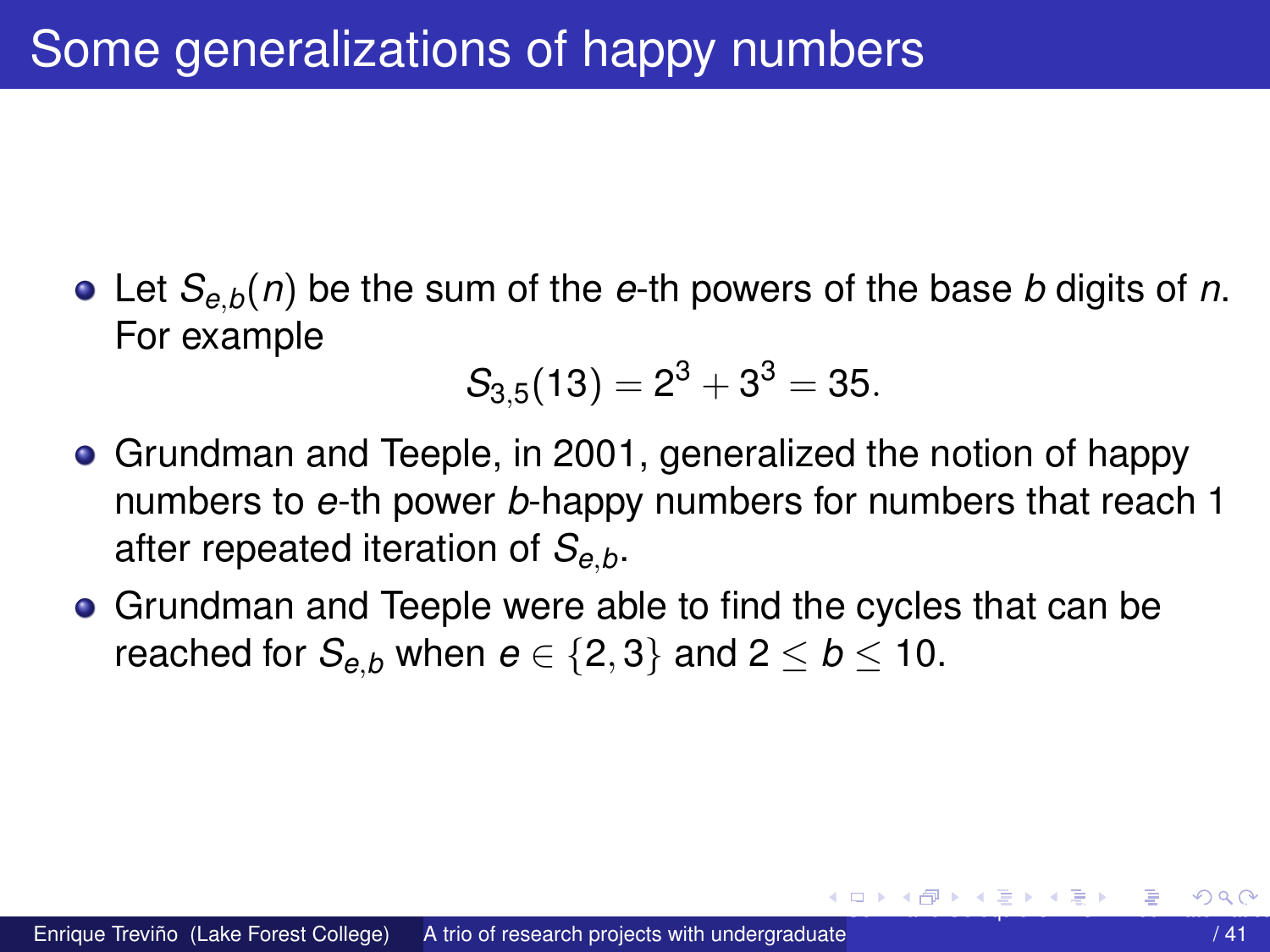<span id="page-5-0"></span>Let *Se*,*b*(*n*) be the sum of the *e*-th powers of the base *b* digits of *n*. For example

$$
S_{3,5}(13)=2^3+3^3=35.\\
$$

- Grundman and Teeple, in 2001, generalized the notion of happy numbers to *e*-th power *b*-happy numbers for numbers that reach 1 after repeated iteration of *Se*,*b*.
- Grundman and Teeple were able to find the cycles that can be reached for  $S_{e,b}$  when  $e \in \{2,3\}$  and  $2 \leq b \leq 10$ .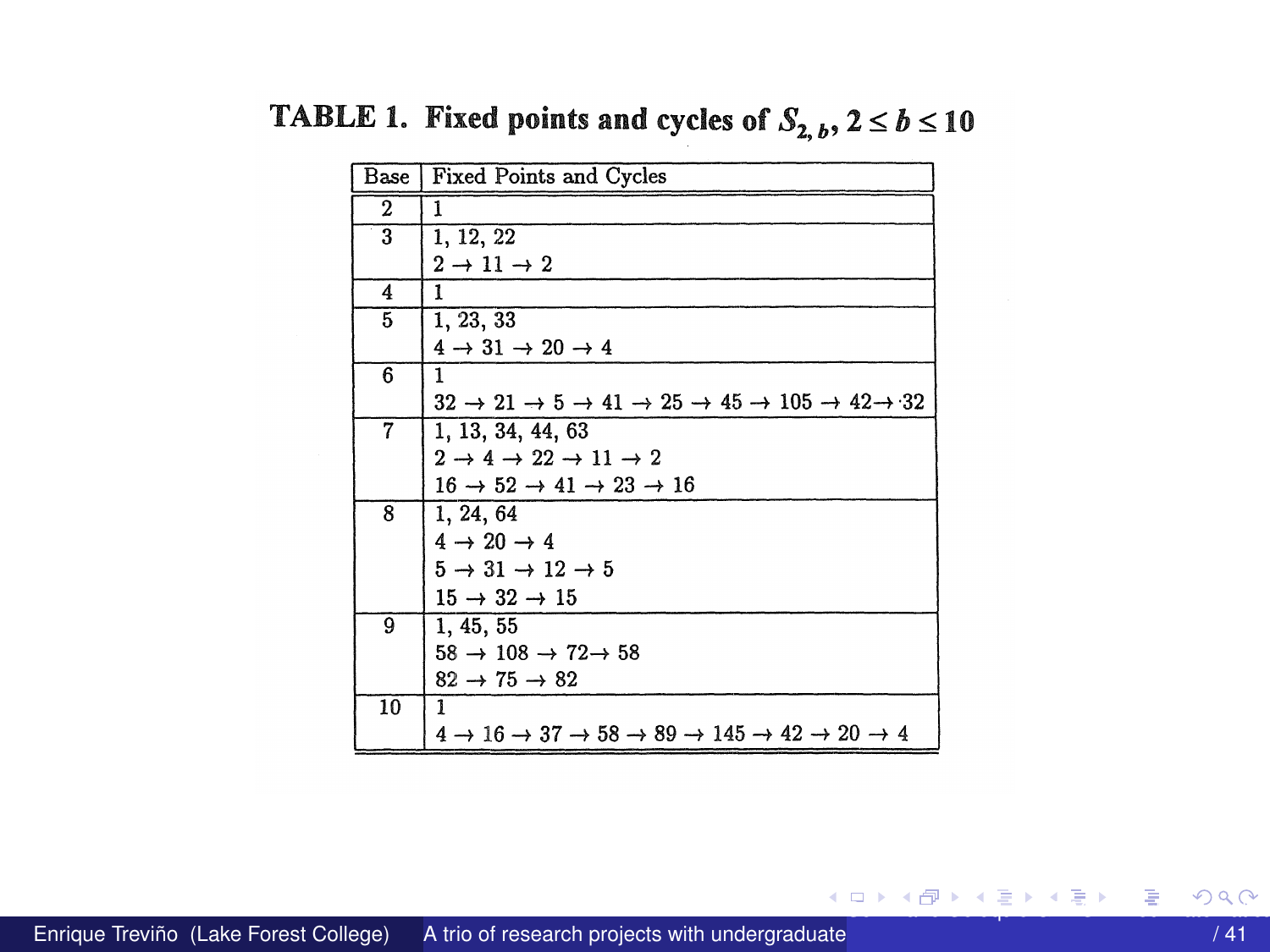| Base         | Fixed Points and Cycles                                                                                                      |
|--------------|------------------------------------------------------------------------------------------------------------------------------|
| $\mathbf{2}$ | 1                                                                                                                            |
| 3            | 1, 12, 22                                                                                                                    |
|              | $2 \rightarrow 11 \rightarrow 2$                                                                                             |
| 4            | 1                                                                                                                            |
| 5            | 1, 23, 33                                                                                                                    |
|              | $4 \rightarrow 31 \rightarrow 20 \rightarrow 4$                                                                              |
| 6            | 1                                                                                                                            |
|              | $32 \rightarrow 21 \rightarrow 5 \rightarrow 41 \rightarrow 25 \rightarrow 45 \rightarrow 105 \rightarrow 42 \rightarrow 32$ |
| 7            | 1, 13, 34, 44, 63                                                                                                            |
|              | $2 \rightarrow 4 \rightarrow 22 \rightarrow 11 \rightarrow 2$                                                                |
|              | $16 \rightarrow 52 \rightarrow 41 \rightarrow 23 \rightarrow 16$                                                             |
| 8            | 1, 24, 64                                                                                                                    |
|              | $4 \rightarrow 20 \rightarrow 4$                                                                                             |
|              | $5 \rightarrow 31 \rightarrow 12 \rightarrow 5$                                                                              |
|              | $15 \rightarrow 32 \rightarrow 15$                                                                                           |
| 9            | 1, 45, 55                                                                                                                    |
|              | $58 \rightarrow 108 \rightarrow 72 \rightarrow 58$                                                                           |
|              | $82 \rightarrow 75 \rightarrow 82$                                                                                           |
| 10           | 1                                                                                                                            |
|              | $4 \rightarrow 16 \rightarrow 37 \rightarrow 58 \rightarrow 89 \rightarrow 145 \rightarrow 42 \rightarrow 20 \rightarrow 4$  |

<span id="page-6-0"></span>TABLE 1. Fixed points and cycles of  $S_{2, b}$ ,  $2 \le b \le 10$ 

イロトメ 倒 トメ ヨ トメ ヨ トー ヨ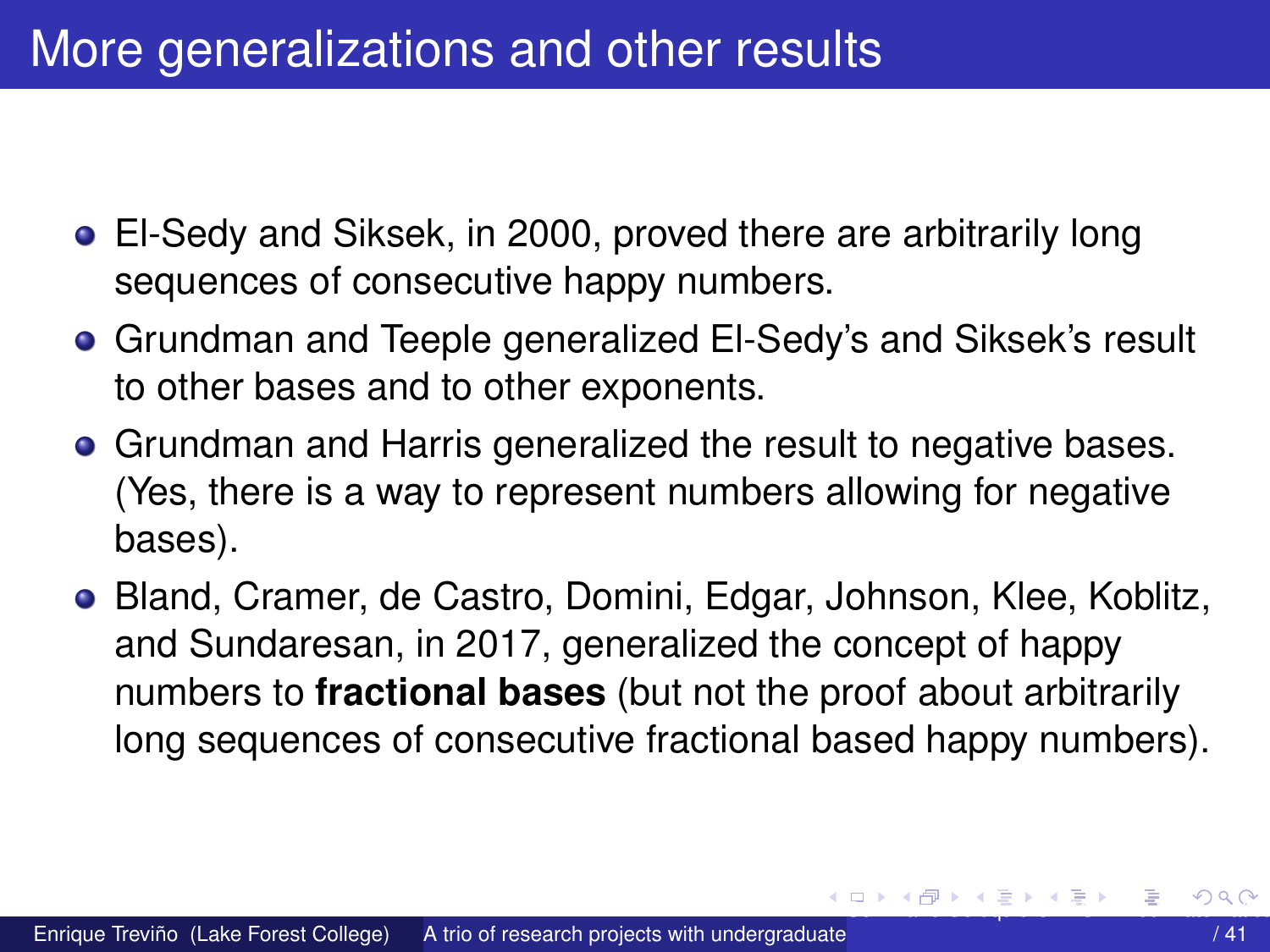## <span id="page-7-0"></span>More generalizations and other results

- El-Sedy and Siksek, in 2000, proved there are arbitrarily long sequences of consecutive happy numbers.
- Grundman and Teeple generalized El-Sedy's and Siksek's result to other bases and to other exponents.
- **Grundman and Harris generalized the result to negative bases.** (Yes, there is a way to represent numbers allowing for negative bases).
- Bland, Cramer, de Castro, Domini, Edgar, Johnson, Klee, Koblitz, and Sundaresan, in 2017, generalized the concept of happy numbers to **fractional bases** (but not the proof about arbitrarily long sequences of consecutive fractional based happy numbers).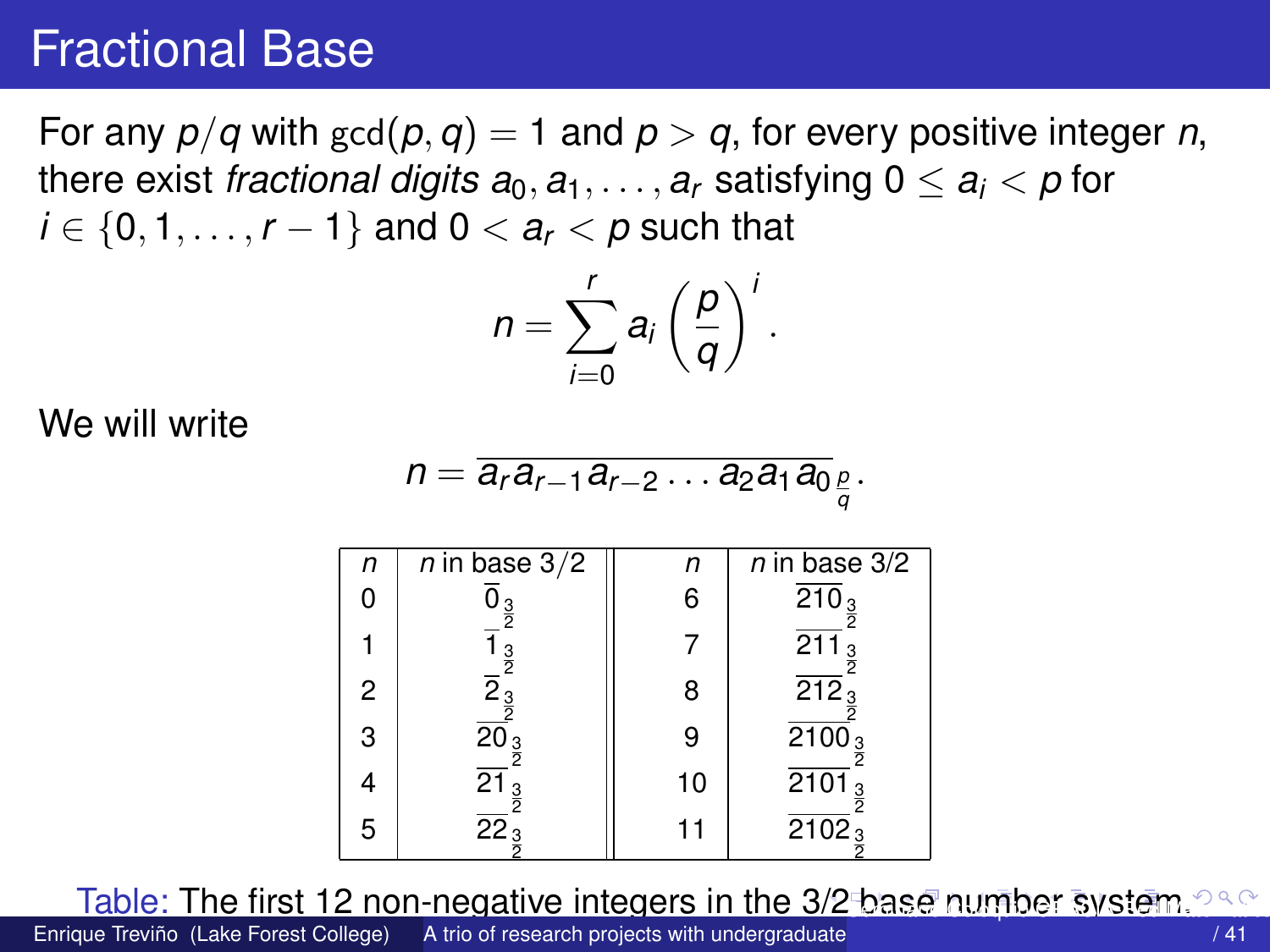## <span id="page-8-0"></span>Fractional Base

For any  $p/q$  with  $gcd(p, q) = 1$  and  $p > q$ , for every positive integer *n*, there exist *fractional digits*  $a_0, a_1, \ldots, a_r$  satisfying  $0 \le a_i < p$  for *i* ∈ {0, 1, . . . , *r* − 1} and 0 <  $a_r$  < *p* such that

$$
n=\sum_{i=0}^r a_i\left(\frac{p}{q}\right)^i.
$$

We will write

$$
n=\overline{a_r a_{r-1} a_{r-2} \dots a_2 a_1 a_0}_{\frac{p}{q}}.
$$

| n | n in base 3/2                 | n  | n in base 3/2                   |
|---|-------------------------------|----|---------------------------------|
| 0 | $\overline{0}_{\frac{3}{2}}$  | 6  | $\overline{210}_{\frac{3}{2}}$  |
| 1 | $\overline{1}_{\frac{2}{2}}$  | 7  | $\overline{211}_{\frac{3}{2}}$  |
| 2 | $\overline{2}_{\frac{3}{2}}$  | 8  | $\overline{212}_{\frac{3}{2}}$  |
| 3 | $\overline{20}_{\frac{3}{2}}$ | 9  | $\overline{2100}_{\frac{3}{2}}$ |
| 4 | $\overline{21}_{\frac{3}{2}}$ | 10 | $\overline{2101}_{\frac{3}{2}}$ |
| 5 | $\overline{22}_{\frac{3}{2}}$ | 11 | $\overline{2102}_{\frac{3}{2}}$ |

Table: The first 12 non-negative integers in the [3/2](#page-7-0) [ba](#page-9-0)[s](#page-7-0)[e](#page-8-0) [n](#page-9-0)[um](#page-0-0)[b](#page-40-0)[er](#page-0-0) [sy](#page-40-0)[ste](#page-0-0)[m.](#page-40-0) 288

Enrique Treviño (Lake Forest College) A trio of research projects with undergraduate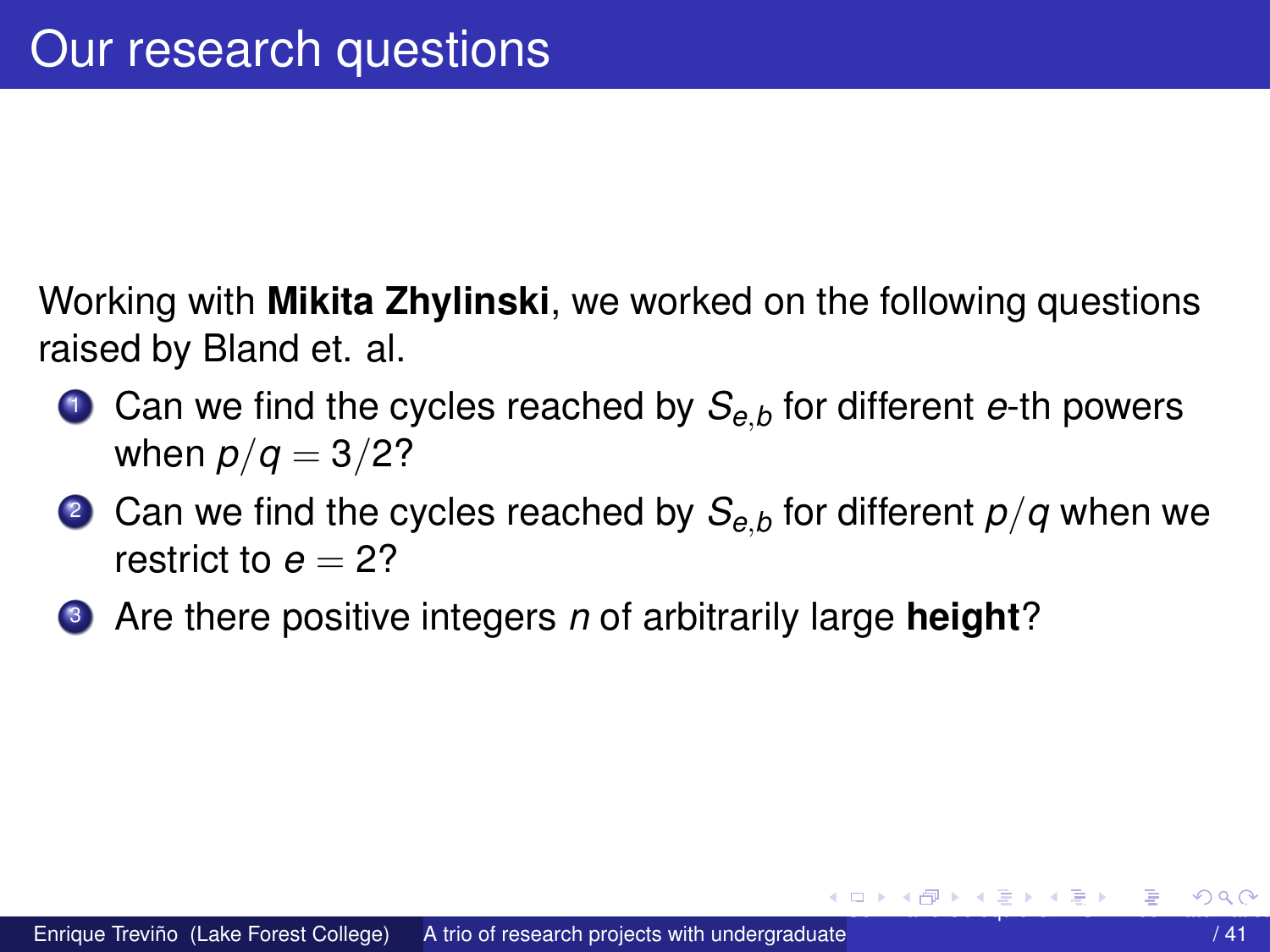<span id="page-9-0"></span>Working with **Mikita Zhylinski**, we worked on the following questions raised by Bland et. al.

- <sup>1</sup> Can we find the cycles reached by *Se*,*<sup>b</sup>* for different *e*-th powers when  $p/q = 3/2?$
- <sup>2</sup> Can we find the cycles reached by *Se*,*<sup>b</sup>* for different *p*/*q* when we restrict to  $e = 2$ ?
- <sup>3</sup> Are there positive integers *n* of arbitrarily large **height**?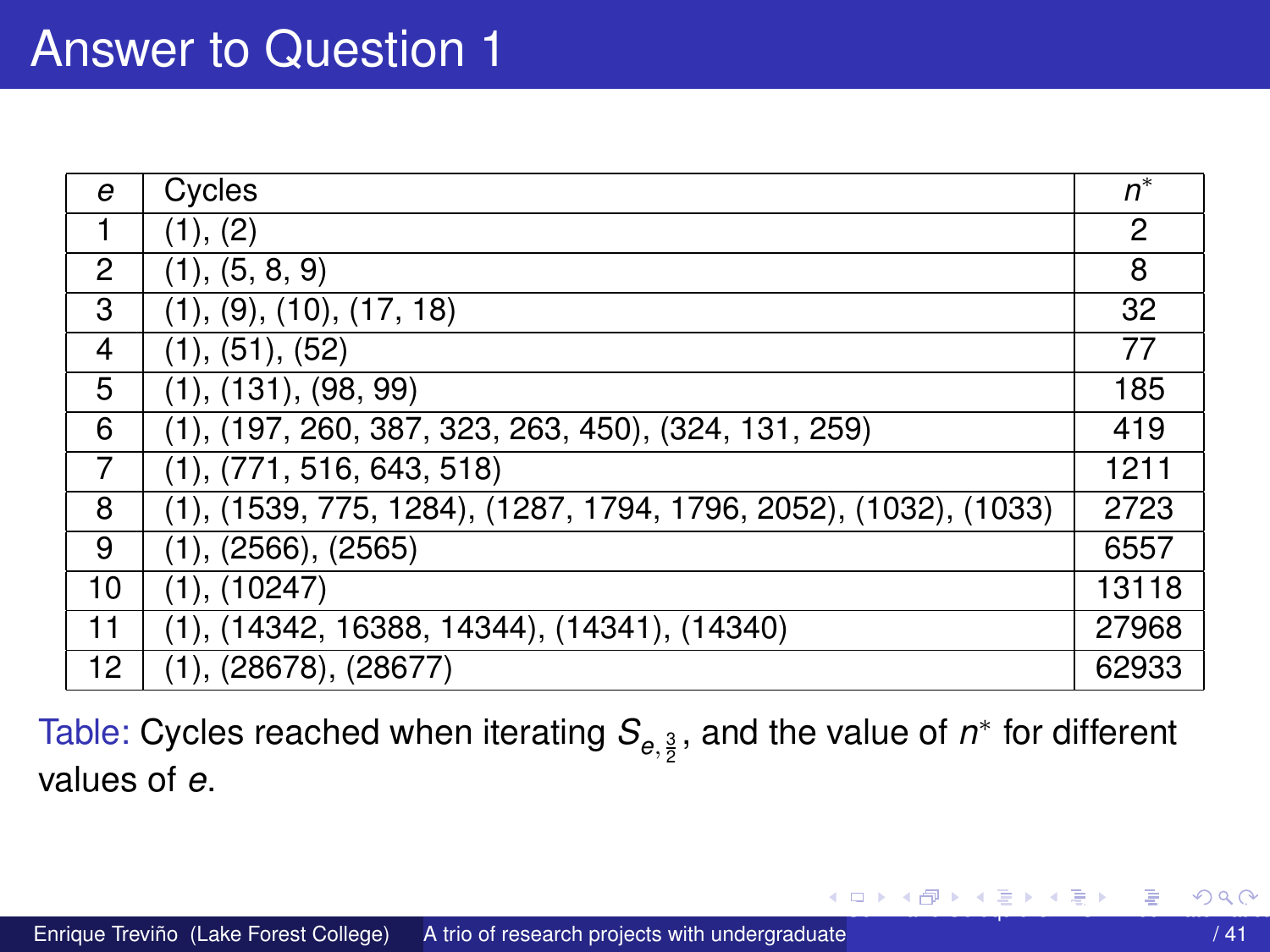<span id="page-10-0"></span>

| e  | Cycles                                                           | $n^*$ |
|----|------------------------------------------------------------------|-------|
| 1  | (1), (2)                                                         | 2     |
| 2  | (1), (5, 8, 9)                                                   | 8     |
| 3  | (1), (9), (10), (17, 18)                                         | 32    |
| 4  | (1), (51), (52)                                                  | 77    |
| 5  | (1), (131), (98, 99)                                             | 185   |
| 6  | $(1), (197, 260, 387, 323, 263, 450), (324, 131, 259)$           | 419   |
| 7  | (1), (771, 516, 643, 518)                                        | 1211  |
| 8  | (1), (1539, 775, 1284), (1287, 1794, 1796, 2052), (1032), (1033) | 2723  |
| 9  | (1), (2566), (2565)                                              | 6557  |
| 10 | (1), (10247)                                                     | 13118 |
| 11 | $(1), (14342, 16388, 14344), (14341), (14340)$                   | 27968 |
| 12 | (1), (28678), (28677)                                            | 62933 |

Table: Cycles reached when iterating  $\mathcal{S}_{e,\frac{3}{2}}$ , and the value of  $n^*$  for different values of *e*.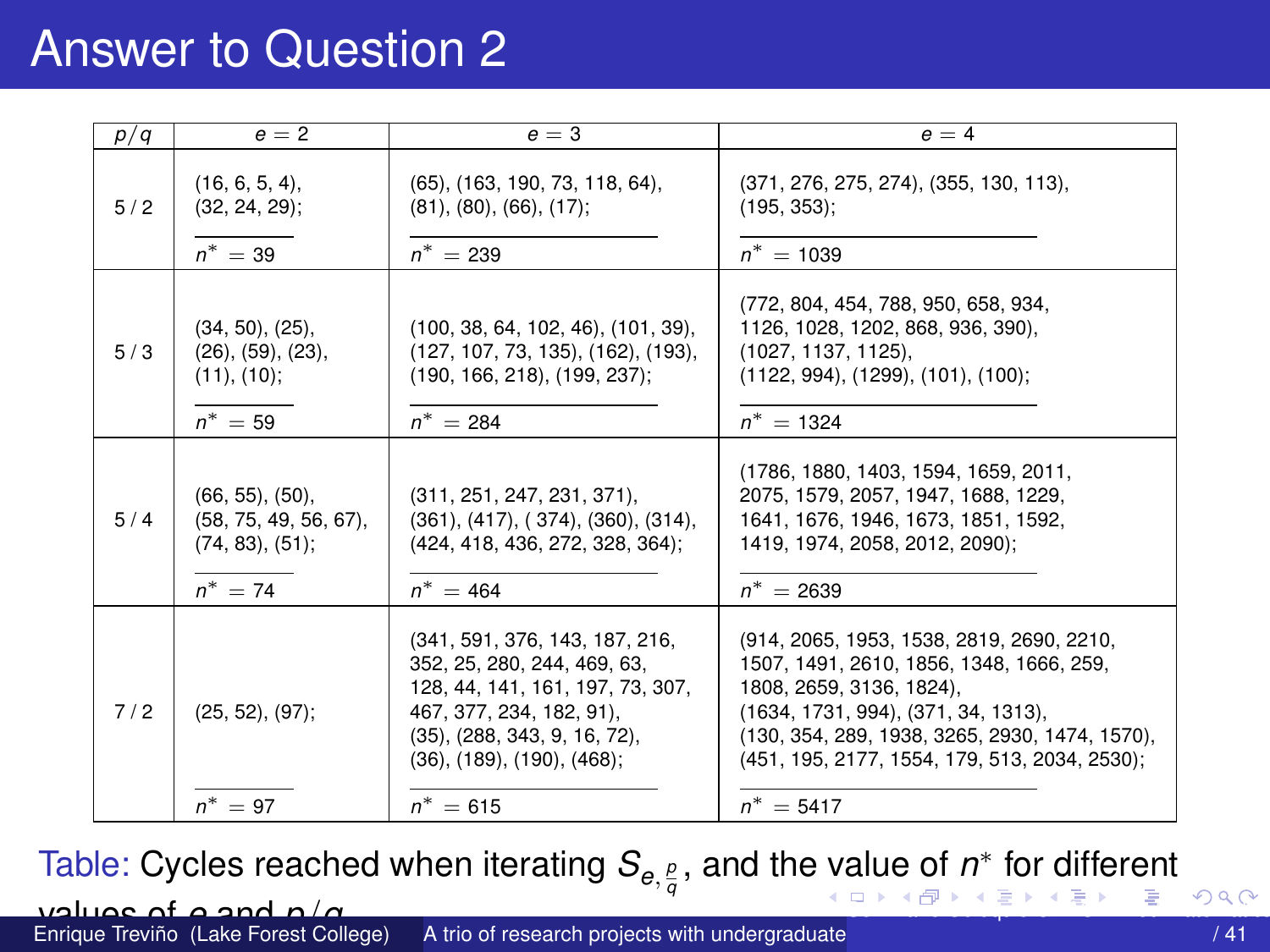## <span id="page-11-0"></span>Answer to Question 2

| p/q | $e = 2$                                                                            | $e = 3$                                                                                                                                                                                                       | $e = 4$                                                                                                                                                                                                                                                     |
|-----|------------------------------------------------------------------------------------|---------------------------------------------------------------------------------------------------------------------------------------------------------------------------------------------------------------|-------------------------------------------------------------------------------------------------------------------------------------------------------------------------------------------------------------------------------------------------------------|
| 5/2 | $(16, 6, 5, 4)$ ,<br>$(32, 24, 29)$ ;<br>$n^* = 39$                                | $(65)$ , $(163, 190, 73, 118, 64)$ ,<br>(81), (80), (66), (17);<br>$n^* = 239$                                                                                                                                | (371, 276, 275, 274), (355, 130, 113),<br>$(195, 353)$ ;<br>$n^* = 1039$                                                                                                                                                                                    |
| 5/3 | (34, 50), (25),<br>(26), (59), (23),<br>(11), (10);<br>$n^* = 59$                  | (100, 38, 64, 102, 46), (101, 39),<br>(127, 107, 73, 135), (162), (193),<br>(190, 166, 218), (199, 237);<br>$n^* = 284$                                                                                       | (772, 804, 454, 788, 950, 658, 934,<br>1126, 1028, 1202, 868, 936, 390),<br>(1027, 1137, 1125),<br>(1122, 994), (1299), (101), (100);<br>$n^* = 1324$                                                                                                       |
| 5/4 | $(66, 55)$ , $(50)$ ,<br>$(58, 75, 49, 56, 67)$ ,<br>(74, 83), (51);<br>$n^* = 74$ | (311, 251, 247, 231, 371),<br>$(361)$ , $(417)$ , $(374)$ , $(360)$ , $(314)$ ,<br>(424, 418, 436, 272, 328, 364);<br>$n^* = 464$                                                                             | (1786, 1880, 1403, 1594, 1659, 2011,<br>2075, 1579, 2057, 1947, 1688, 1229,<br>1641, 1676, 1946, 1673, 1851, 1592,<br>1419, 1974, 2058, 2012, 2090);<br>$n^* = 2639$                                                                                        |
| 7/2 | $(25, 52), (97)$ ;                                                                 | (341, 591, 376, 143, 187, 216,<br>352, 25, 280, 244, 469, 63,<br>128, 44, 141, 161, 197, 73, 307,<br>467, 377, 234, 182, 91),<br>$(35)$ , $(288, 343, 9, 16, 72)$ ,<br>$(36)$ , $(189)$ , $(190)$ , $(468)$ ; | (914, 2065, 1953, 1538, 2819, 2690, 2210,<br>1507. 1491. 2610. 1856. 1348. 1666. 259.<br>1808, 2659, 3136, 1824),<br>(1634, 1731, 994), (371, 34, 1313),<br>(130, 354, 289, 1938, 3265, 2930, 1474, 1570),<br>(451, 195, 2177, 1554, 179, 513, 2034, 2530); |
|     | $n^* = 97$                                                                         | $n^* = 615$                                                                                                                                                                                                   | $n^* = 5417$                                                                                                                                                                                                                                                |

Table: Cycles reached when iterating  $\mathcal{S}_{e, \frac{\rho}{q}}$ , and the [va](#page-10-0)lue of  $n^*$  for different

#### values of *e* and *p*/*q*.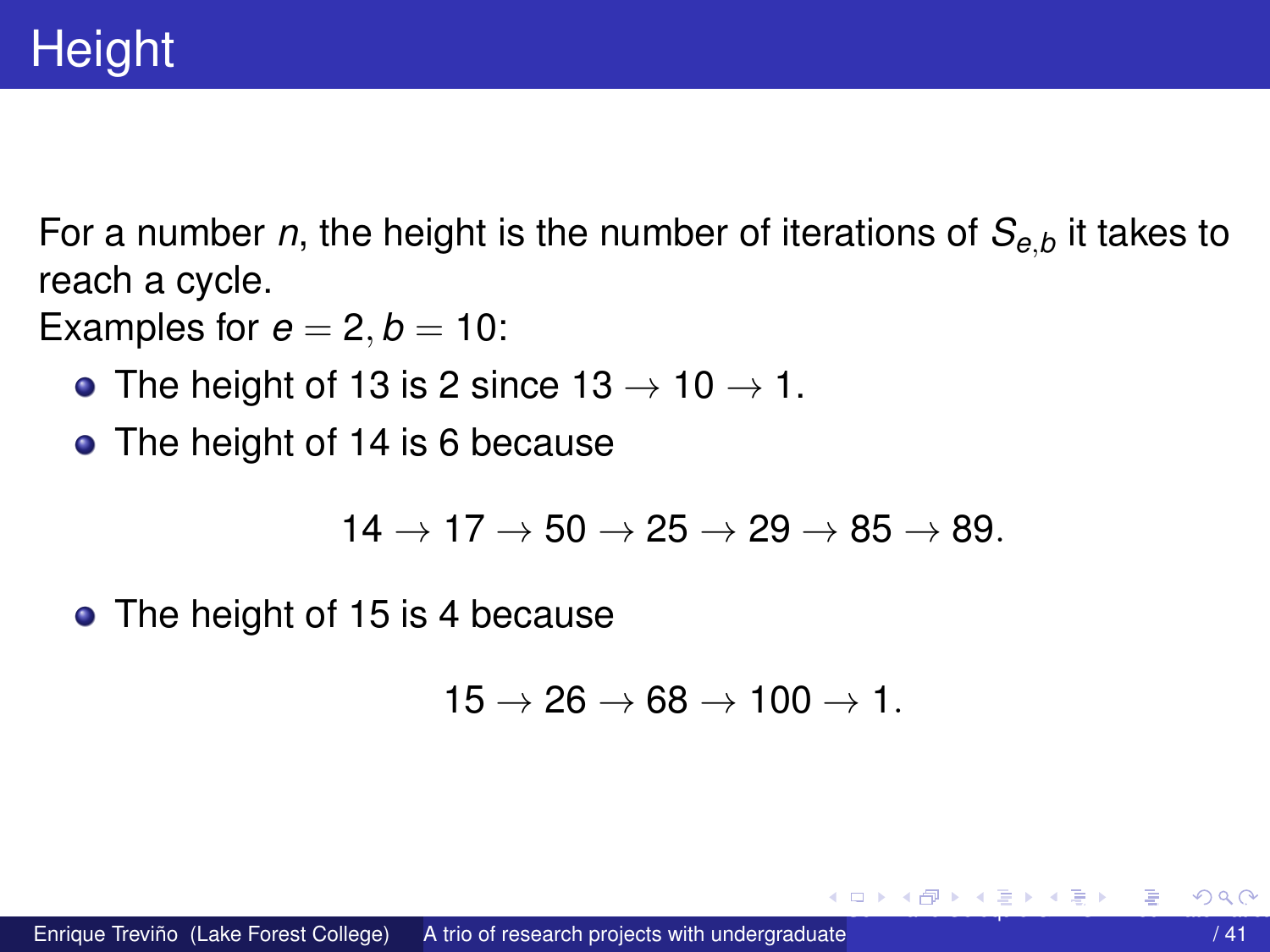<span id="page-12-0"></span>For a number *n*, the height is the number of iterations of *Se*,*<sup>b</sup>* it takes to reach a cycle.

Examples for  $e = 2, b = 10$ :

- The height of 13 is 2 since  $13 \rightarrow 10 \rightarrow 1$ .
- The height of 14 is 6 because

$$
14 \rightarrow 17 \rightarrow 50 \rightarrow 25 \rightarrow 29 \rightarrow 85 \rightarrow 89.
$$

• The height of 15 is 4 because

$$
15\rightarrow 26\rightarrow 68\rightarrow 100\rightarrow 1.
$$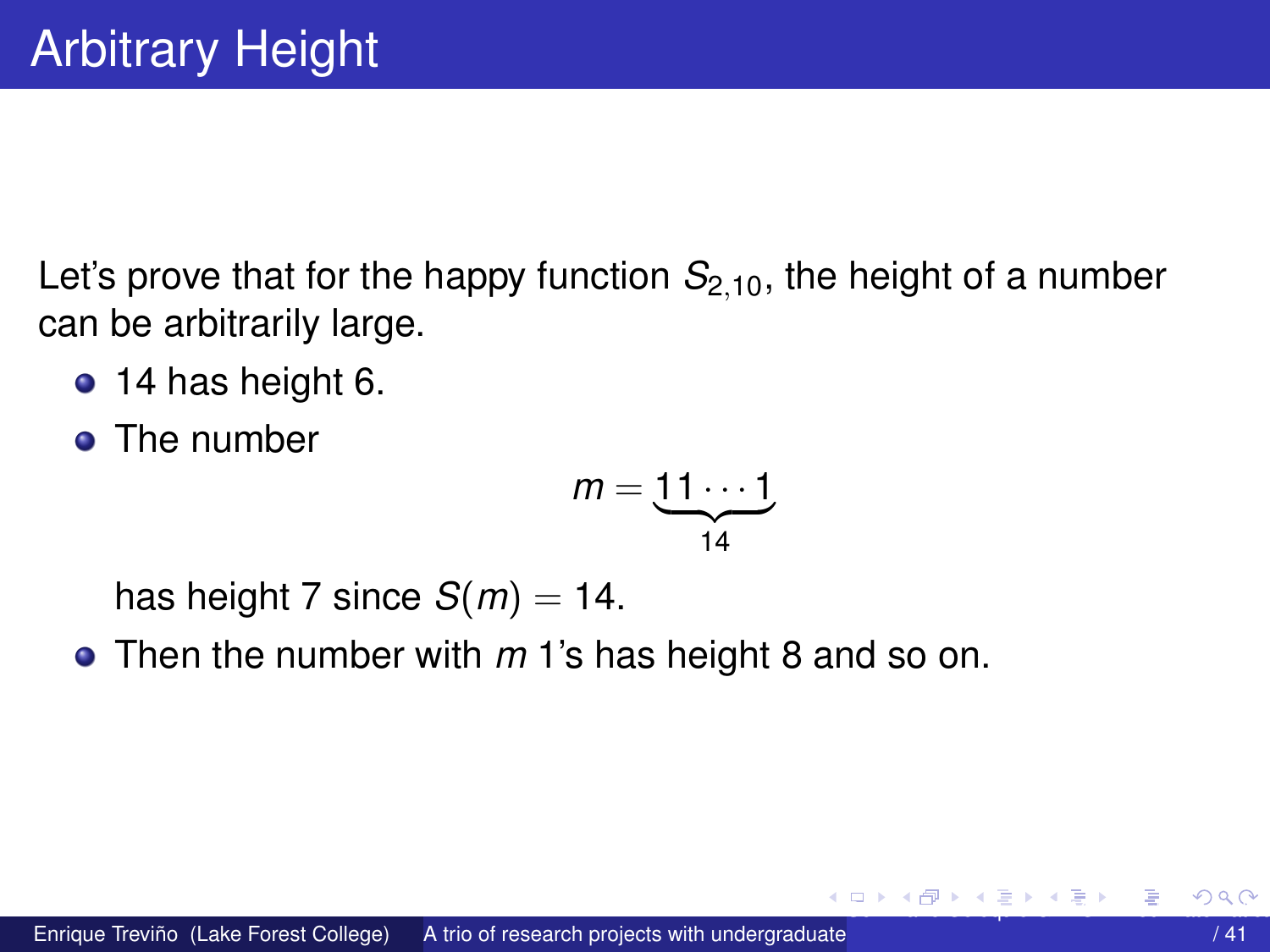<span id="page-13-0"></span>Let's prove that for the happy function  $S_{2,10}$ , the height of a number can be arbitrarily large.

- $\bullet$  14 has height 6.
- The number

$$
m=\underbrace{11\cdots 1}_{14}
$$

has height 7 since  $S(m) = 14$ .

• Then the number with  $m<sub>1</sub>$ 's has height 8 and so on.

K ロ K K 伺 K K 差 K K 差 K 。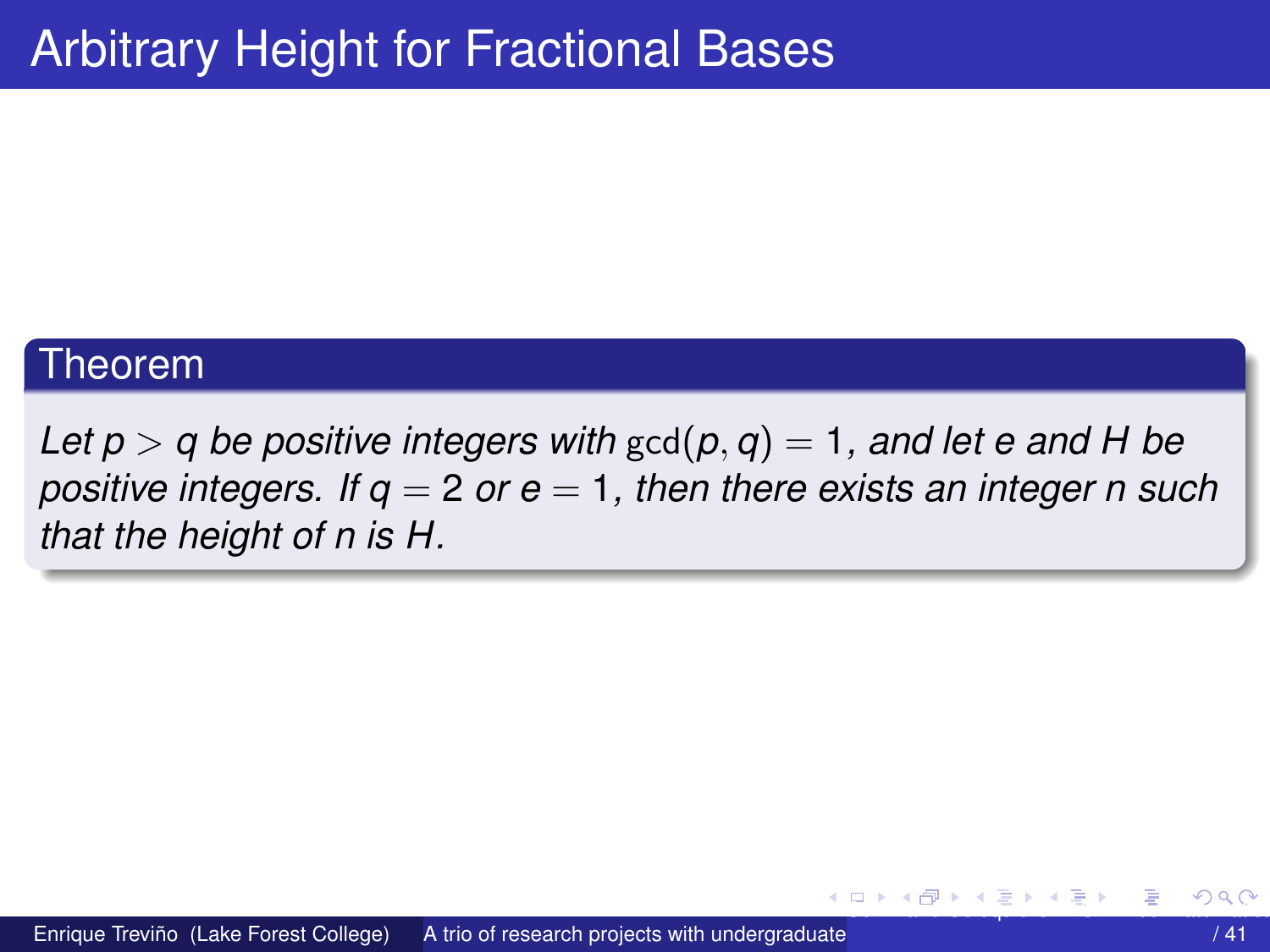#### <span id="page-14-0"></span>Theorem

Let  $p > q$  be positive integers with  $gcd(p, q) = 1$ , and let e and H be positive integers. If  $q = 2$  or  $e = 1$ , then there exists an integer n such that the height of n is H.

イロト イ押ト イヨト イヨ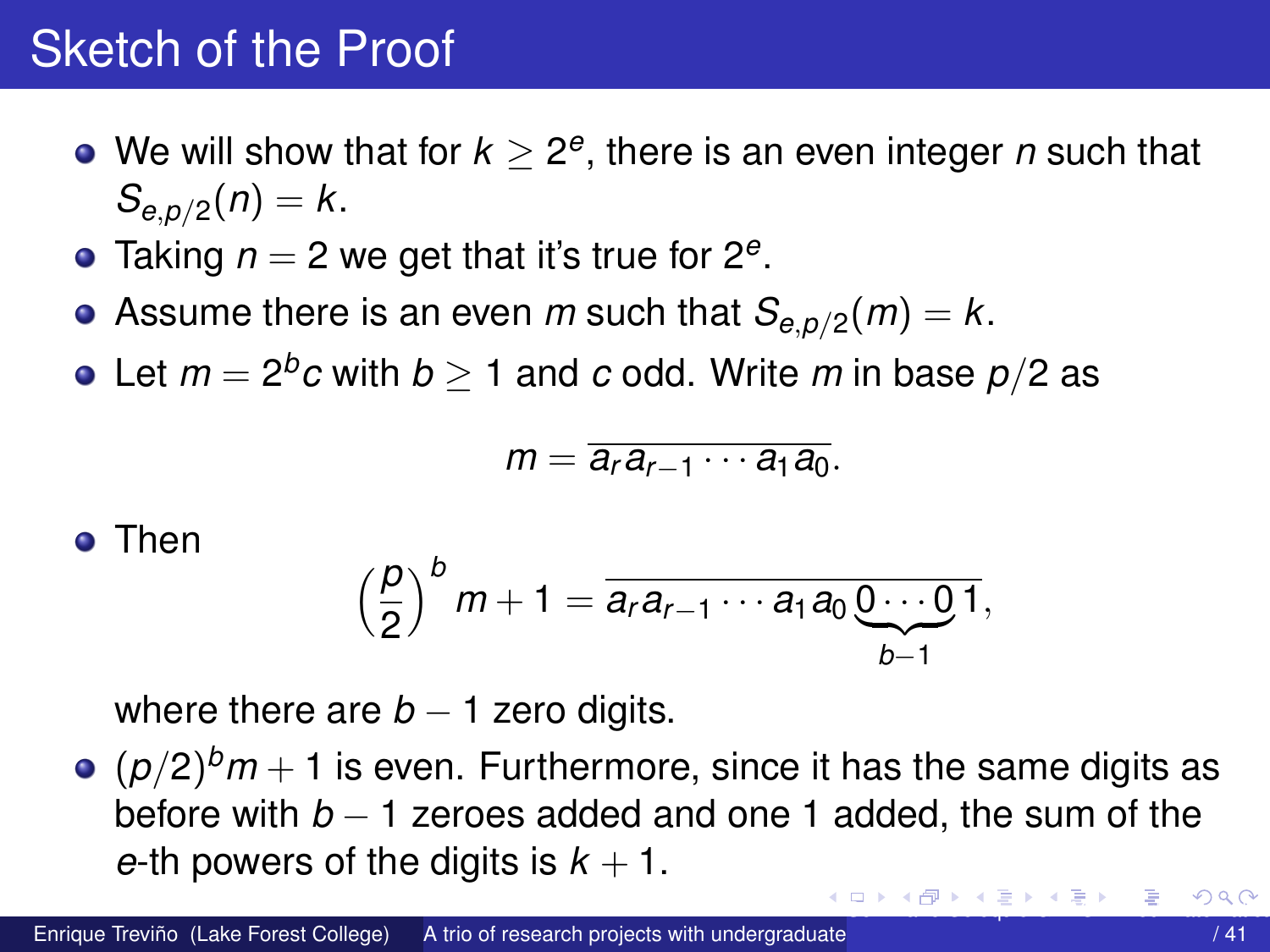## <span id="page-15-0"></span>Sketch of the Proof

- We will show that for  $k \geq 2^e,$  there is an even integer  $n$  such that  $S_{e, p/2}(n) = k$ .
- Taking *n* = 2 we get that it's true for 2*<sup>e</sup>* .
- Assume there is an even *m* such that  $\mathcal{S}_{e,p/2}(m)=k.$
- Let  $m=2^b c$  with  $b\geq 1$  and  $c$  odd. Write  $m$  in base  $p/2$  as

$$
m=\overline{a_ra_{r-1}\cdots a_1a_0}.
$$

#### **o** Then

$$
\left(\frac{p}{2}\right)^{b}m+1=\overline{a_ra_{r-1}\cdots a_1a_0\underbrace{0\cdots 0}_{b-1}},
$$

where there are  $b - 1$  zero digits.

 $(\rho/2)^{b}m+1$  is even. Furthermore, since it has the same digits as before with *b* − 1 zeroes added and one 1 added, the sum of the *e*-th powers of the digits is  $k + 1$ .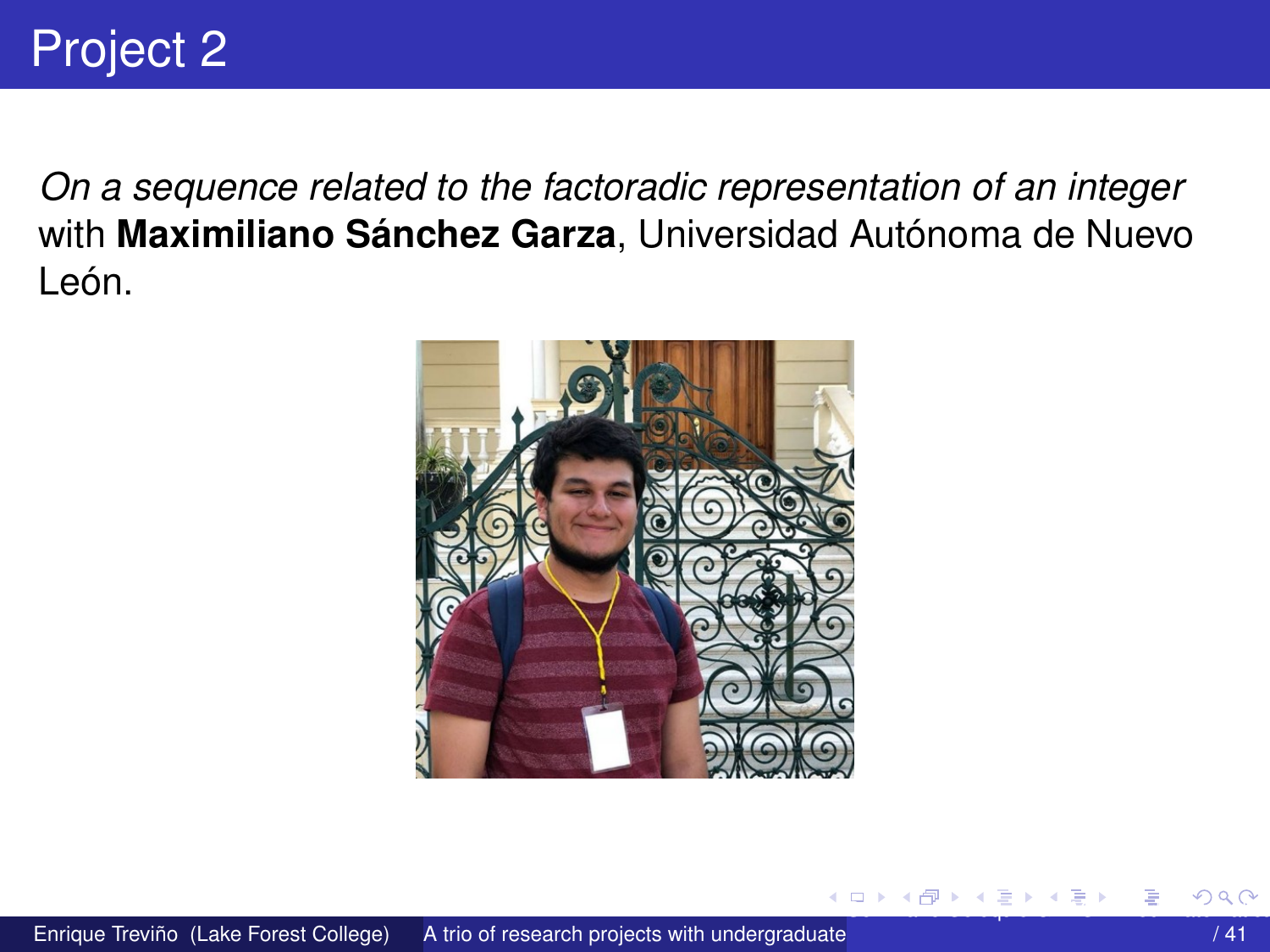<span id="page-16-0"></span>On a sequence related to the factoradic representation of an integer with Maximiliano Sánchez Garza, Universidad Autónoma de Nuevo León.



4.000.00

 $\mathcal{L}$  and  $\mathcal{L}$  and  $\mathcal{L}$  in the  $\mathcal{L}$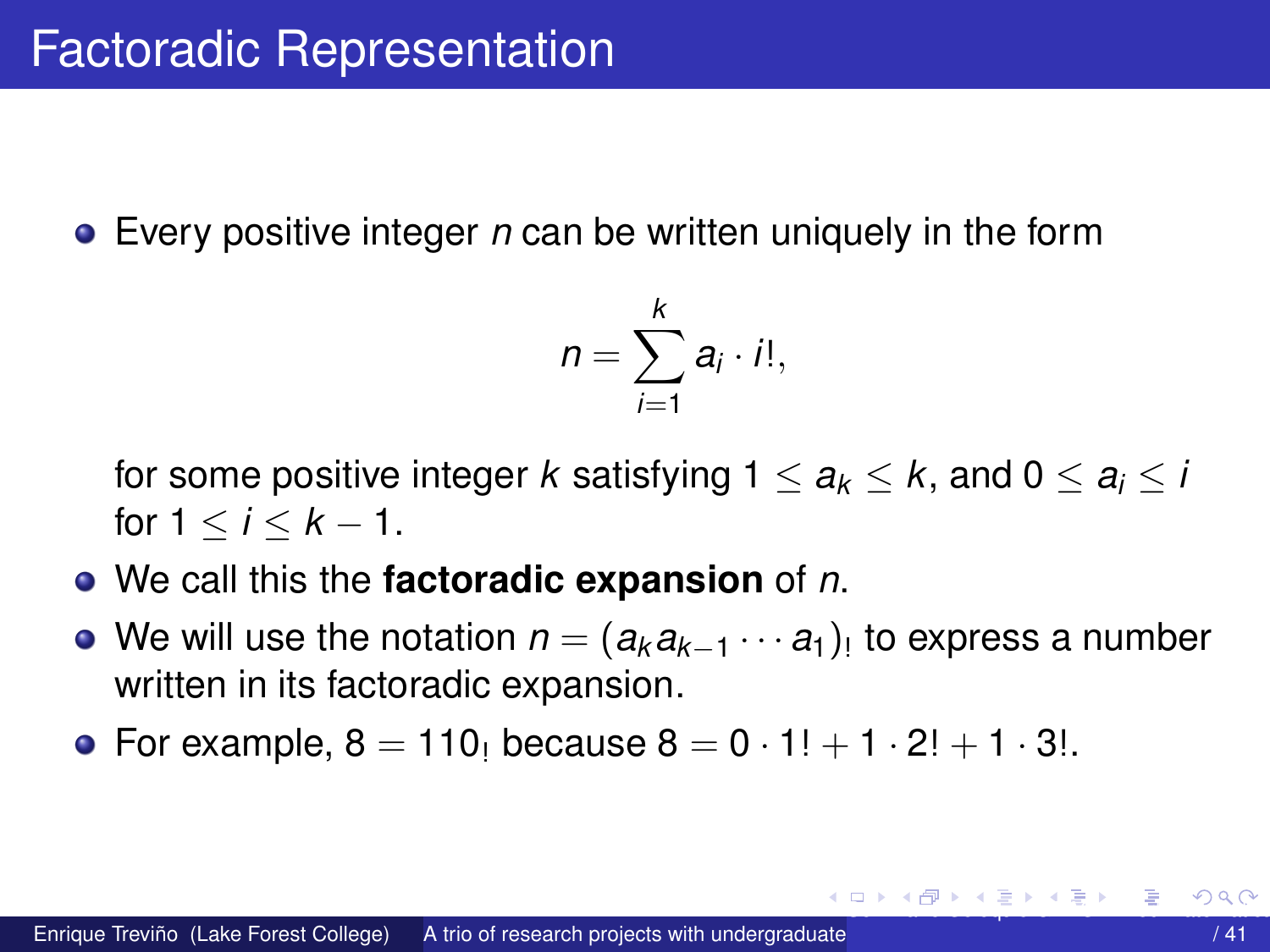<span id="page-17-0"></span> $\bullet$  Every positive integer n can be written uniquely in the form

$$
n=\sum_{i=1}^k a_i\cdot i!,
$$

for some positive integer k satisfying  $1 \le a_k \le k$ , and  $0 \le a_i \le i$ for  $1 < i < k - 1$ .

- $\bullet$  We call this the **factoradic expansion** of n.
- We will use the notation  $n = (a_k a_{k-1} \cdots a_1)$  to express a number written in its factoradic expansion.
- For example,  $8 = 110$  because  $8 = 0 \cdot 1! + 1 \cdot 2! + 1 \cdot 3!$ .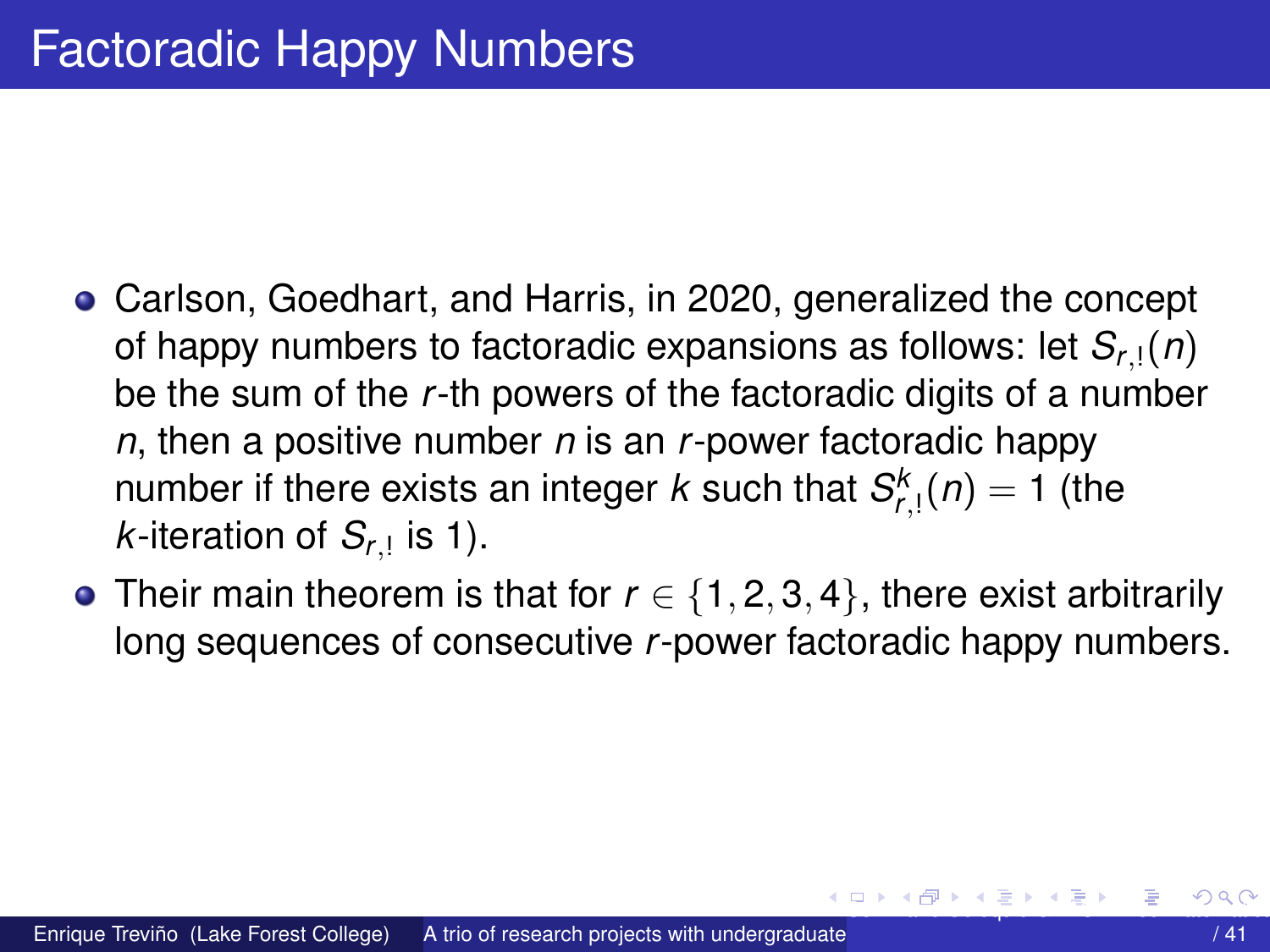- <span id="page-18-0"></span>Carlson, Goedhart, and Harris, in 2020, generalized the concept of happy numbers to factoradic expansions as follows: let  $S_{r}$ <sub>1</sub> $(n)$ be the sum of the *r*-th powers of the factoradic digits of a number *n*, then a positive number *n* is an *r*-power factoradic happy number if there exists an integer  $k$  such that  $S^k_{r,1}(n) = 1$  (the  $k$ -iteration of  $S_{r,1}$  is 1).
- Their main theorem is that for  $r \in \{1, 2, 3, 4\}$ , there exist arbitrarily long sequences of consecutive *r*-power factoradic happy numbers.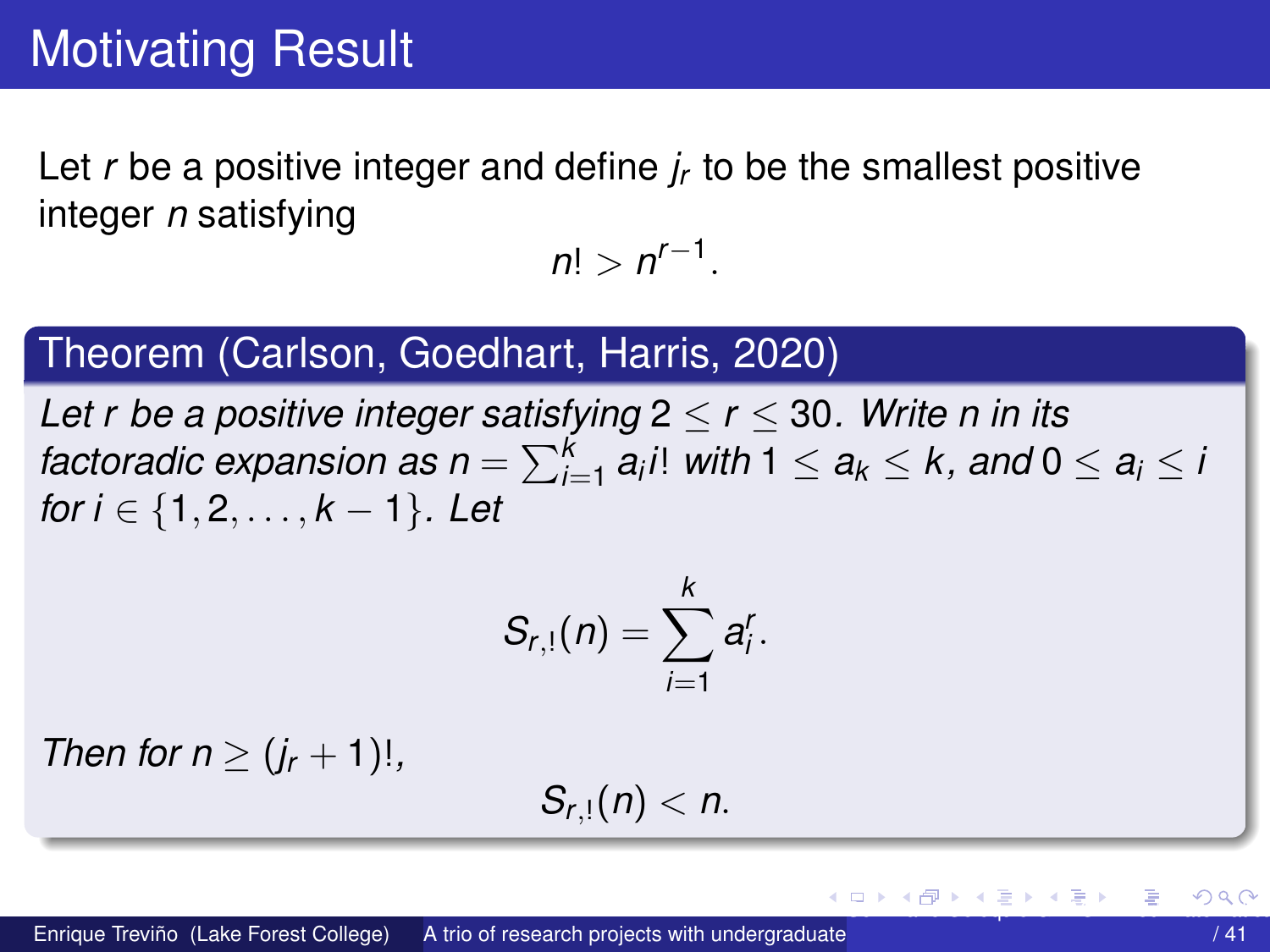<span id="page-19-0"></span>Let r be a positive integer and define  $i<sub>r</sub>$  to be the smallest positive integer *n* satisfying

 $n! > n^{r-1}$ .

#### Theorem (Carlson, Goedhart, Harris, 2020)

Let r be a positive integer satisfying  $2 \le r \le 30$ . Write n in its factoradic expansion as  $n = \sum_{i=1}^{k} a_i i!$  with  $1 \le a_k \le k$ , and  $0 \le a_i \le i$ for  $i \in \{1, 2, ..., k-1\}$ . Let

$$
S_{r,1}(n)=\sum_{i=1}^k a_i^r.
$$

Then for  $n \geq (j_r + 1)!$ ,

$$
S_{r,1}(n)
$$

イロト イ押ト イヨト イヨ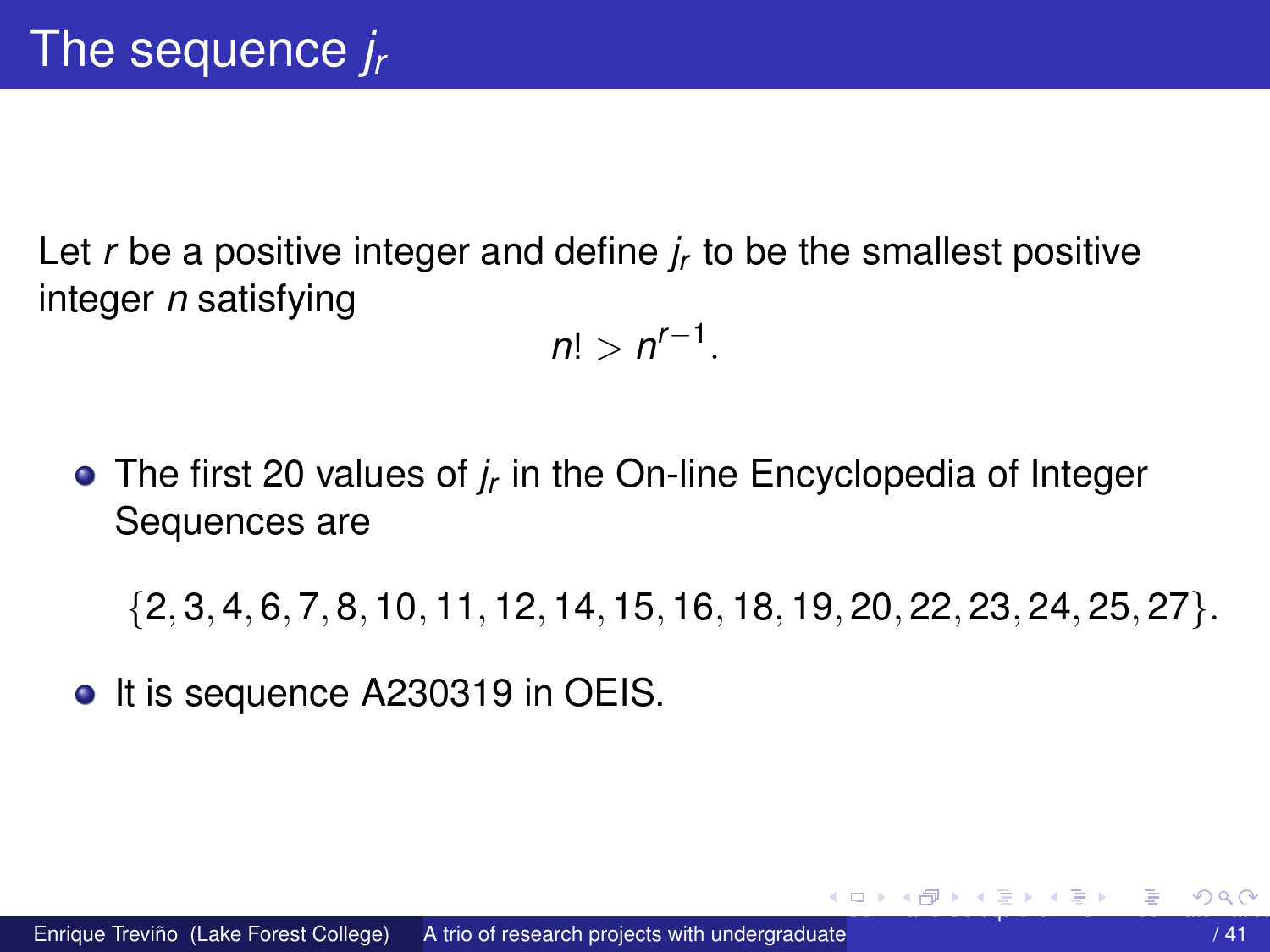<span id="page-20-0"></span>Let *r* be a positive integer and define *j<sup>r</sup>* to be the smallest positive integer *n* satisfying

 $n! > n^{r-1}.$ 

The first 20 values of *j<sup>r</sup>* in the On-line Encyclopedia of Integer Sequences are

{2, 3, 4, 6, 7, 8, 10, 11, 12, 14, 15, 16, 18, 19, 20, 22, 23, 24, 25, 27}.

• It is sequence A230319 in OEIS.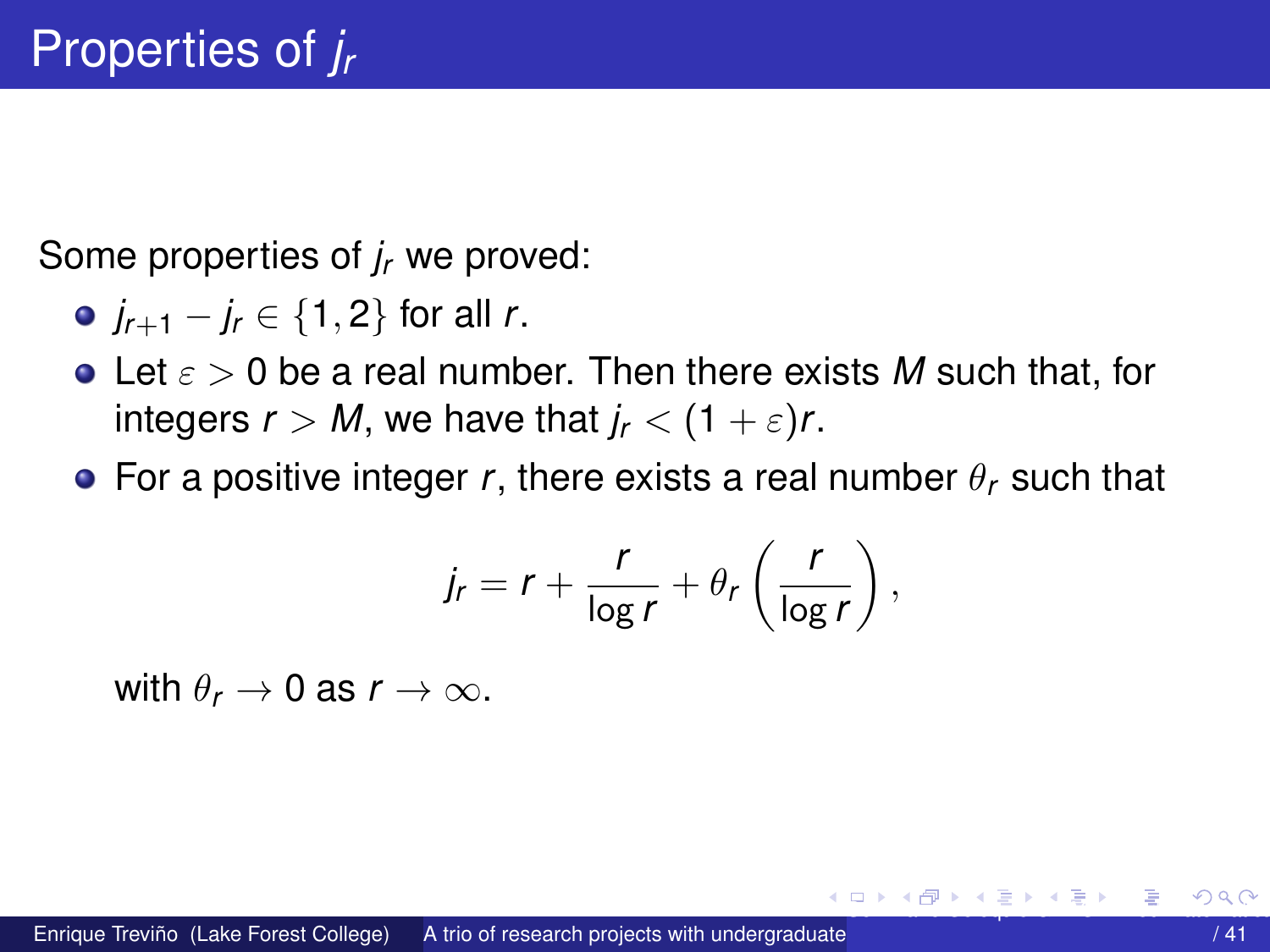<span id="page-21-0"></span>Some properties of *j<sup>r</sup>* we proved:

- *jr*+<sup>1</sup> − *j<sup>r</sup>* ∈ {1, 2} for all *r*.
- Let ε > 0 be a real number. Then there exists *M* such that, for integers  $r > M$ , we have that  $j_r < (1 + \varepsilon)r$ .
- **•** For a positive integer *r*, there exists a real number  $\theta_r$  such that

$$
j_r = r + \frac{r}{\log r} + \theta_r \left( \frac{r}{\log r} \right),
$$

with  $\theta_r \to 0$  as  $r \to \infty$ .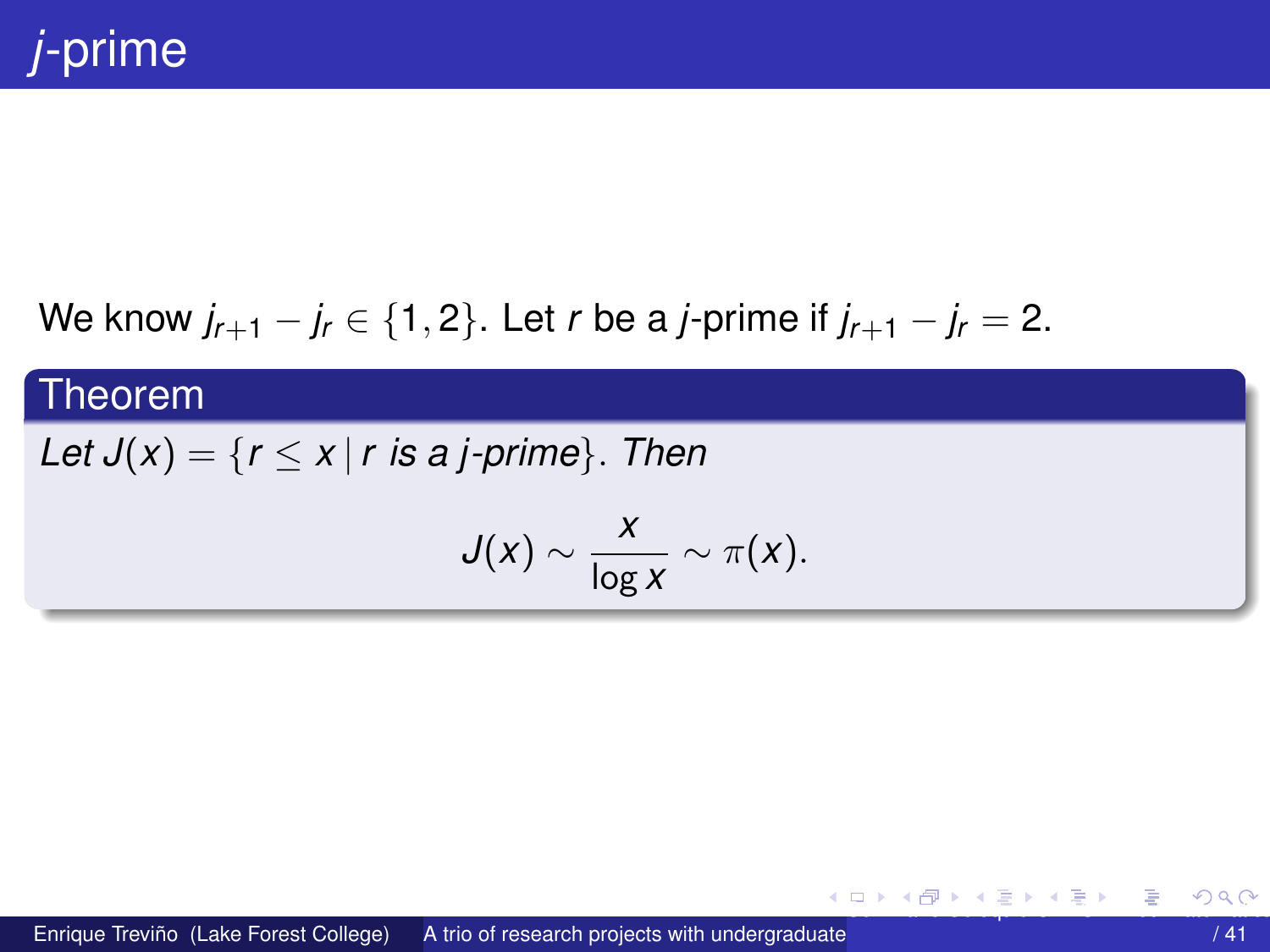## <span id="page-22-0"></span>We know  $j_{r+1} - j_r \in \{1, 2\}$ . Let *r* be a *j*-prime if  $j_{r+1} - j_r = 2$ .

#### Theorem

### *Let*  $J(x) = \{r \le x \mid r \text{ is a } j\text{-prime}\}$ . *Then*

$$
J(x) \sim \frac{x}{\log x} \sim \pi(x).
$$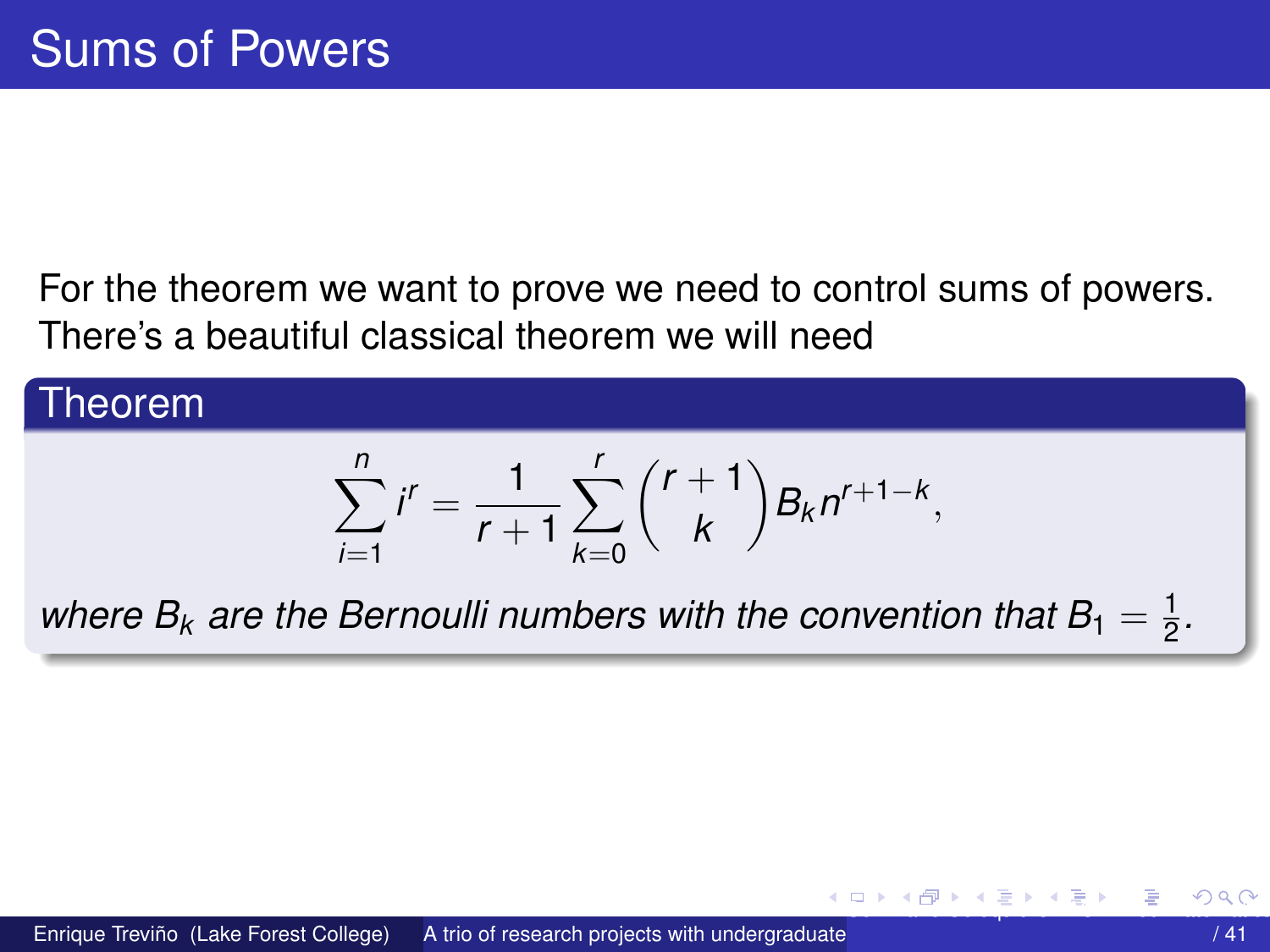<span id="page-23-0"></span>For the theorem we want to prove we need to control sums of powers. There's a beautiful classical theorem we will need

#### Theorem  $\sum_{n=1}^{n}$ *i*=1  $i^r = \frac{1}{r}$ *r* + 1  $\sum^r$ *k*=0  $(r + 1)$ *k*  $\bigg\} B_k n^{r+1-k},$ where  $B_k$  are the Bernoulli numbers with the convention that  $B_1=\frac{1}{2}$  $\frac{1}{2}$ .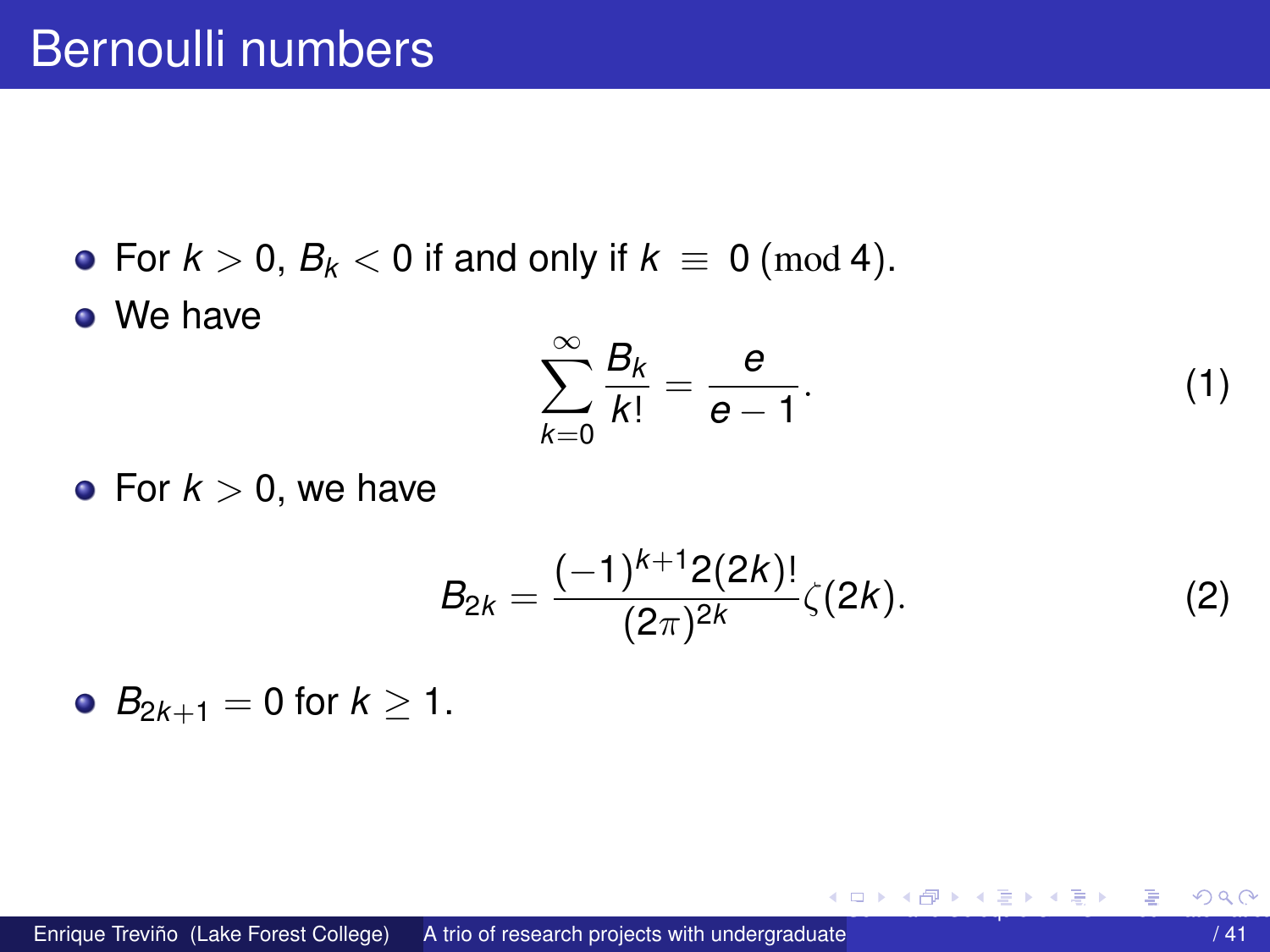<span id="page-24-0"></span>• For  $k > 0$ ,  $B_k < 0$  if and only if  $k \equiv 0 \pmod{4}$ .

We have

$$
\sum_{k=0}^{\infty} \frac{B_k}{k!} = \frac{e}{e-1}.
$$
 (1)

• For  $k > 0$ , we have

$$
B_{2k} = \frac{(-1)^{k+1} 2(2k)!}{(2\pi)^{2k}} \zeta(2k). \tag{2}
$$

•  $B_{2k+1} = 0$  for  $k \ge 1$ .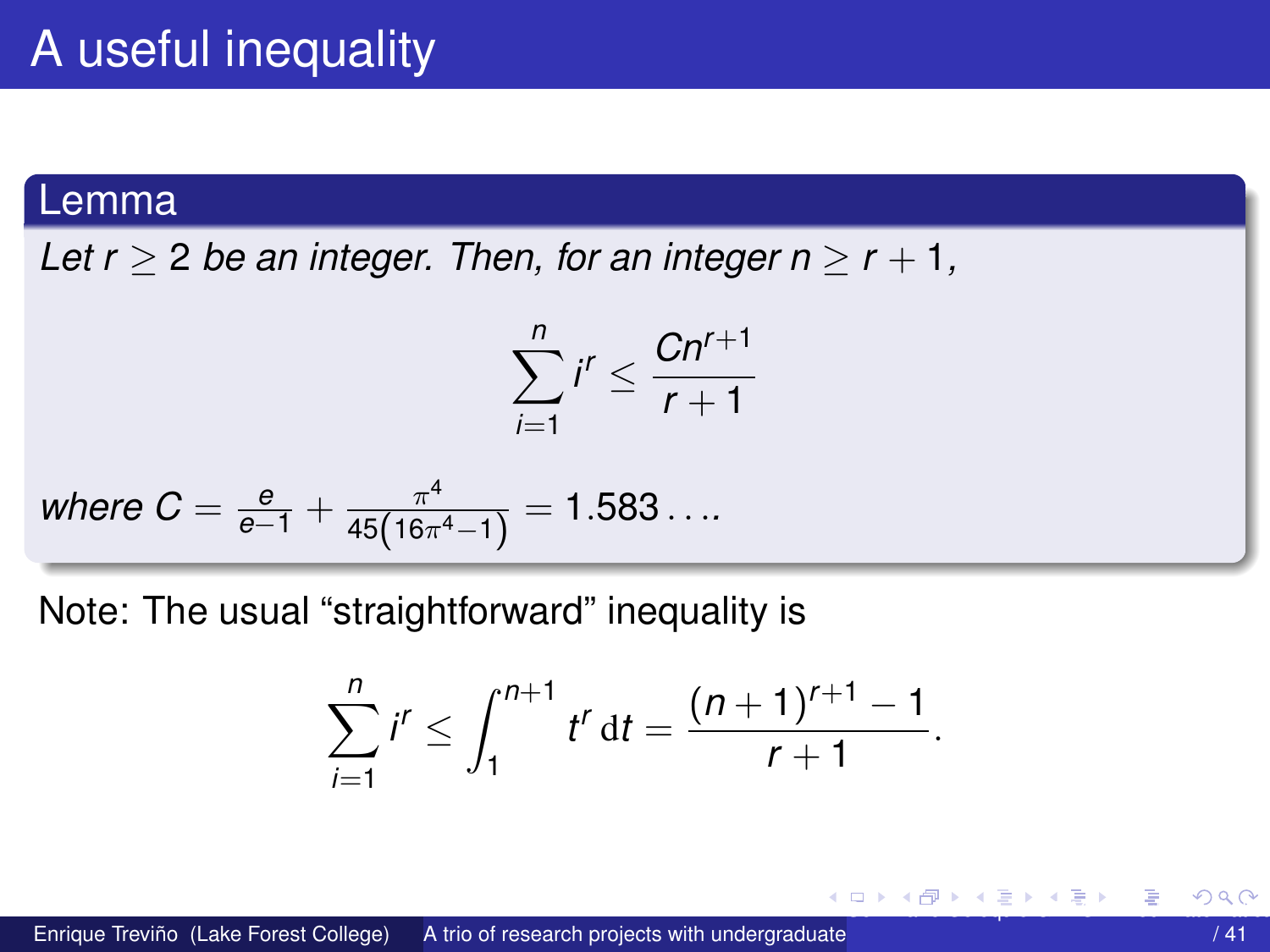#### <span id="page-25-0"></span>Lemma

Let  $r > 2$  be an integer. Then, for an integer  $n > r + 1$ ,

$$
\sum_{i=1}^n i^r \leq \frac{Cn^{r+1}}{r+1}
$$

where 
$$
C = \frac{e}{e-1} + \frac{\pi^4}{45(16\pi^4 - 1)} = 1.583...
$$

Note: The usual "straightforward" inequality is

$$
\sum_{i=1}^n i^r \le \int_1^{n+1} t^r \, \mathrm{d}t = \frac{(n+1)^{r+1}-1}{r+1}
$$

④ ロト ④ 伊 ト ④ 重 ト ④ 悪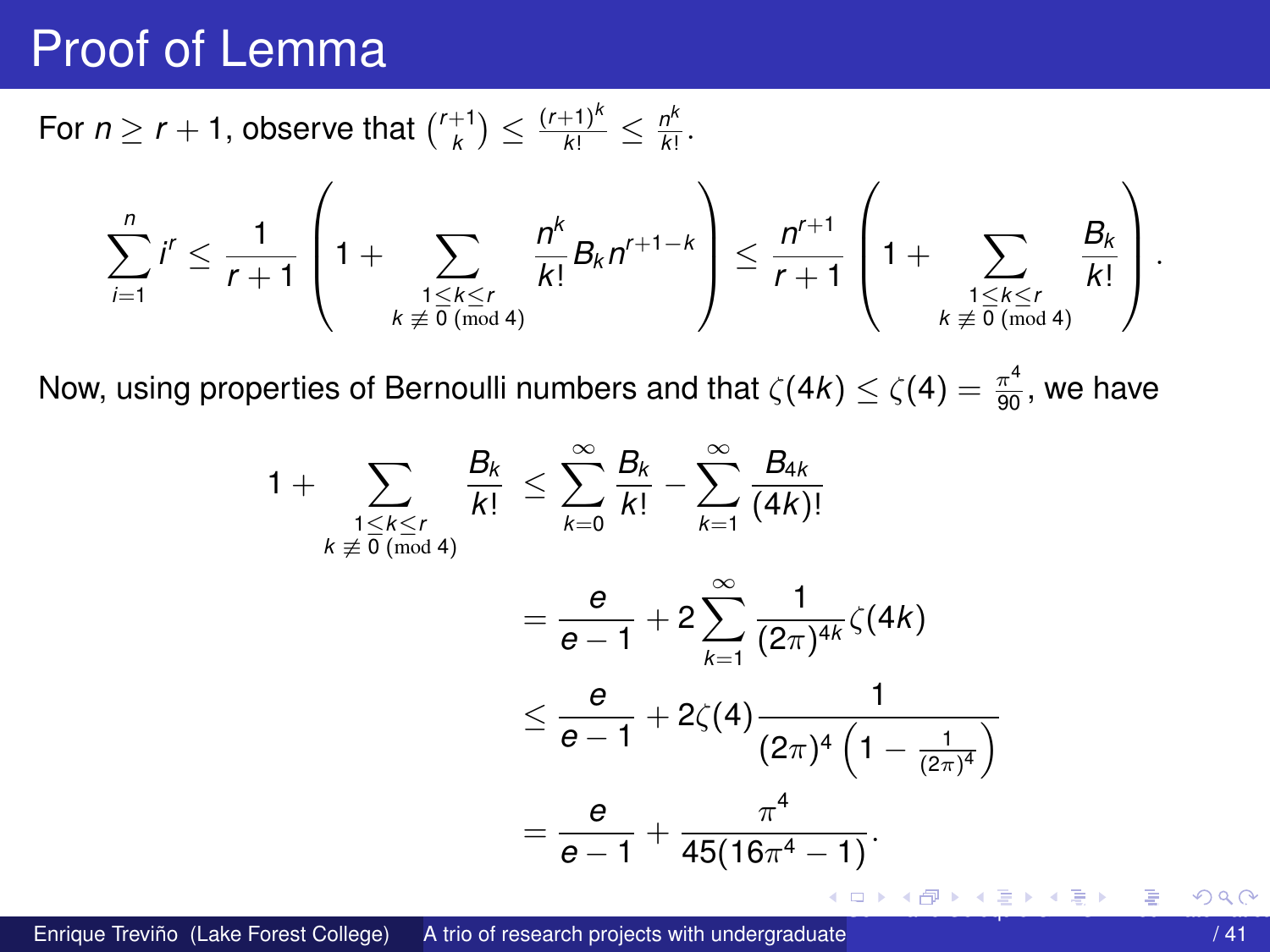## <span id="page-26-0"></span>Proof of Lemma

For  $n \geq r + 1$ , observe that  $\binom{r+1}{k} \leq \frac{(r+1)^k}{k!} \leq \frac{n^k}{k!}$  $\frac{r}{k!}$ .

$$
\sum_{i=1}^n i^r \leq \frac{1}{r+1}\left(1+\sum_{\substack{1\leq k\leq r\\ k\not\equiv 0\,(\text{mod}\,4)}}\frac{n^k}{k!}B_kn^{r+1-k}\right)\leq \frac{n^{r+1}}{r+1}\left(1+\sum_{\substack{1\leq k\leq r\\ k\not\equiv 0\,(\text{mod}\,4)}}\frac{B_k}{k!}\right).
$$

Now, using properties of Bernoulli numbers and that  $\zeta(4k)\leq \zeta(4)=\frac{\pi^4}{90},$  we have

$$
1 + \sum_{\substack{1 \le k \le r \\ k \neq 0 \pmod{4}}} \frac{B_k}{k!} \le \sum_{k=0}^{\infty} \frac{B_k}{k!} - \sum_{k=1}^{\infty} \frac{B_{4k}}{(4k)!}
$$
  
=  $\frac{e}{e-1} + 2 \sum_{k=1}^{\infty} \frac{1}{(2\pi)^{4k}} \zeta(4k)$   
 $\le \frac{e}{e-1} + 2\zeta(4) \frac{1}{(2\pi)^4 \left(1 - \frac{1}{(2\pi)^4}\right)}$   
=  $\frac{e}{e-1} + \frac{\pi^4}{45(16\pi^4 - 1)}$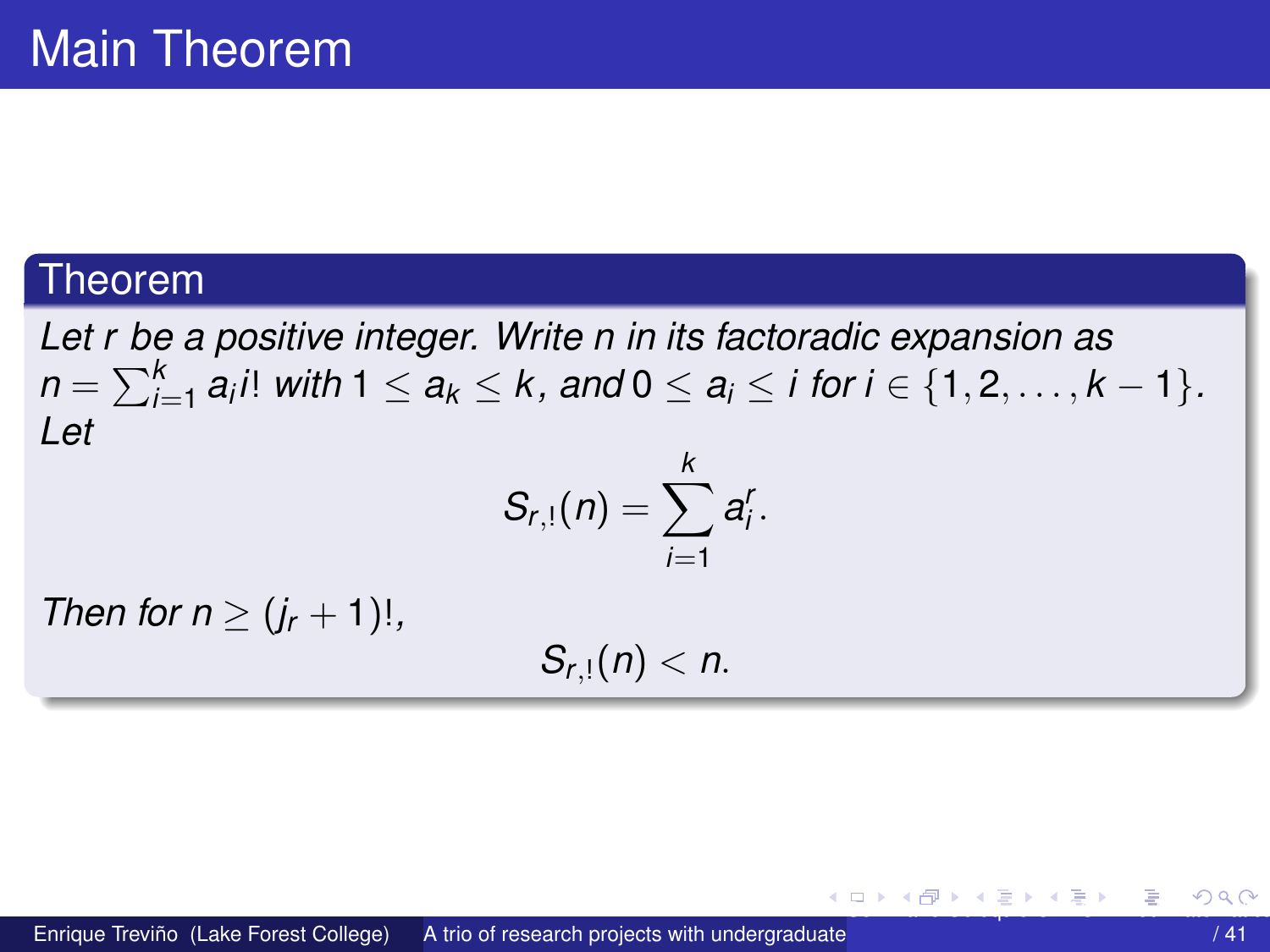#### <span id="page-27-0"></span>Theorem

*Let r be a positive integer. Write n in its factoradic expansion as*  $n = \sum_{i=1}^k a_i i!$  *with*  $1 \le a_k \le k$ , and  $0 \le a_i \le i$  for  $i \in \{1,2,\ldots,k-1\}$ . *Let k*

$$
S_{r,1}(n)=\sum_{i=1}^n a_i^r.
$$

*Then for n*  $\geq (i_r + 1)!$ ,

 $S_{r,1}(n) < n$ .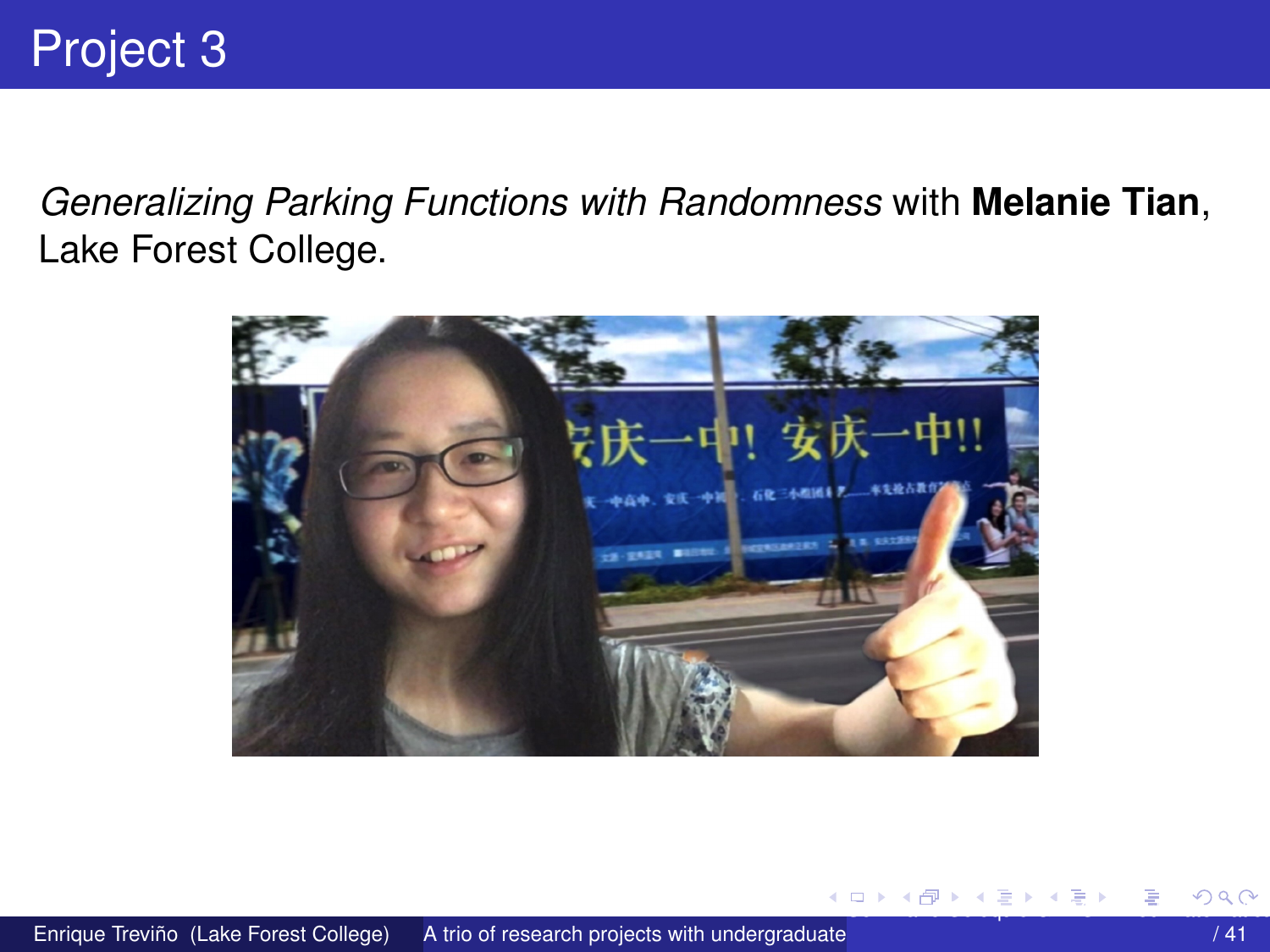<span id="page-28-0"></span>Generalizing Parking Functions with Randomness with Melanie Tian, Lake Forest College.



イロトメ 伊 トメ 差 トメ 急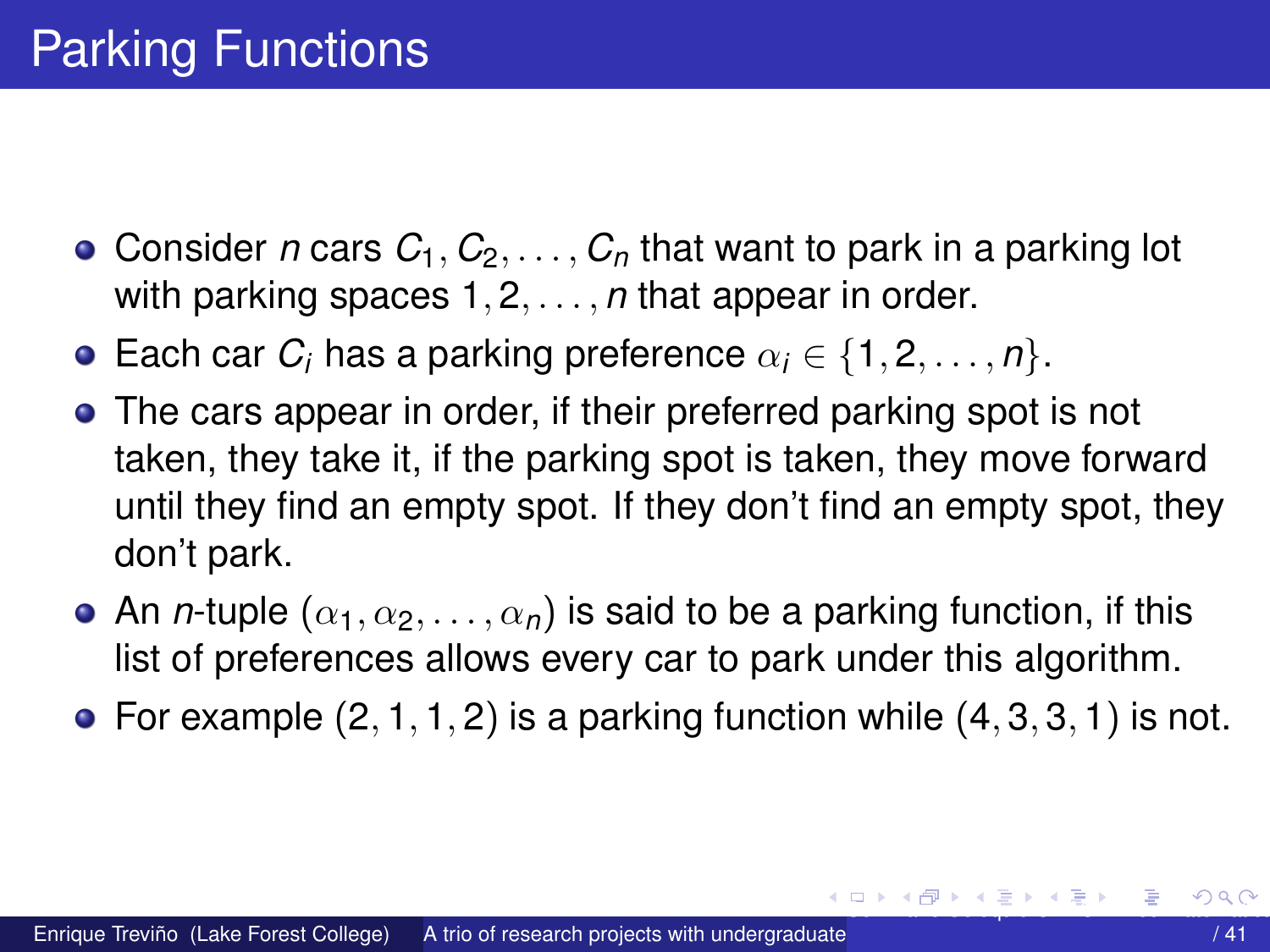- <span id="page-29-0"></span>• Consider *n* cars  $C_1, C_2, \ldots, C_n$  that want to park in a parking lot with parking spaces 1, 2, . . . , *n* that appear in order.
- **Each car** *C<sub>i</sub>* **has a parking preference**  $\alpha_i \in \{1, 2, \ldots, n\}$ .
- The cars appear in order, if their preferred parking spot is not taken, they take it, if the parking spot is taken, they move forward until they find an empty spot. If they don't find an empty spot, they don't park.
- An *n*-tuple  $(\alpha_1, \alpha_2, \ldots, \alpha_n)$  is said to be a parking function, if this list of preferences allows every car to park under this algorithm.
- For example  $(2, 1, 1, 2)$  is a parking function while  $(4, 3, 3, 1)$  is not.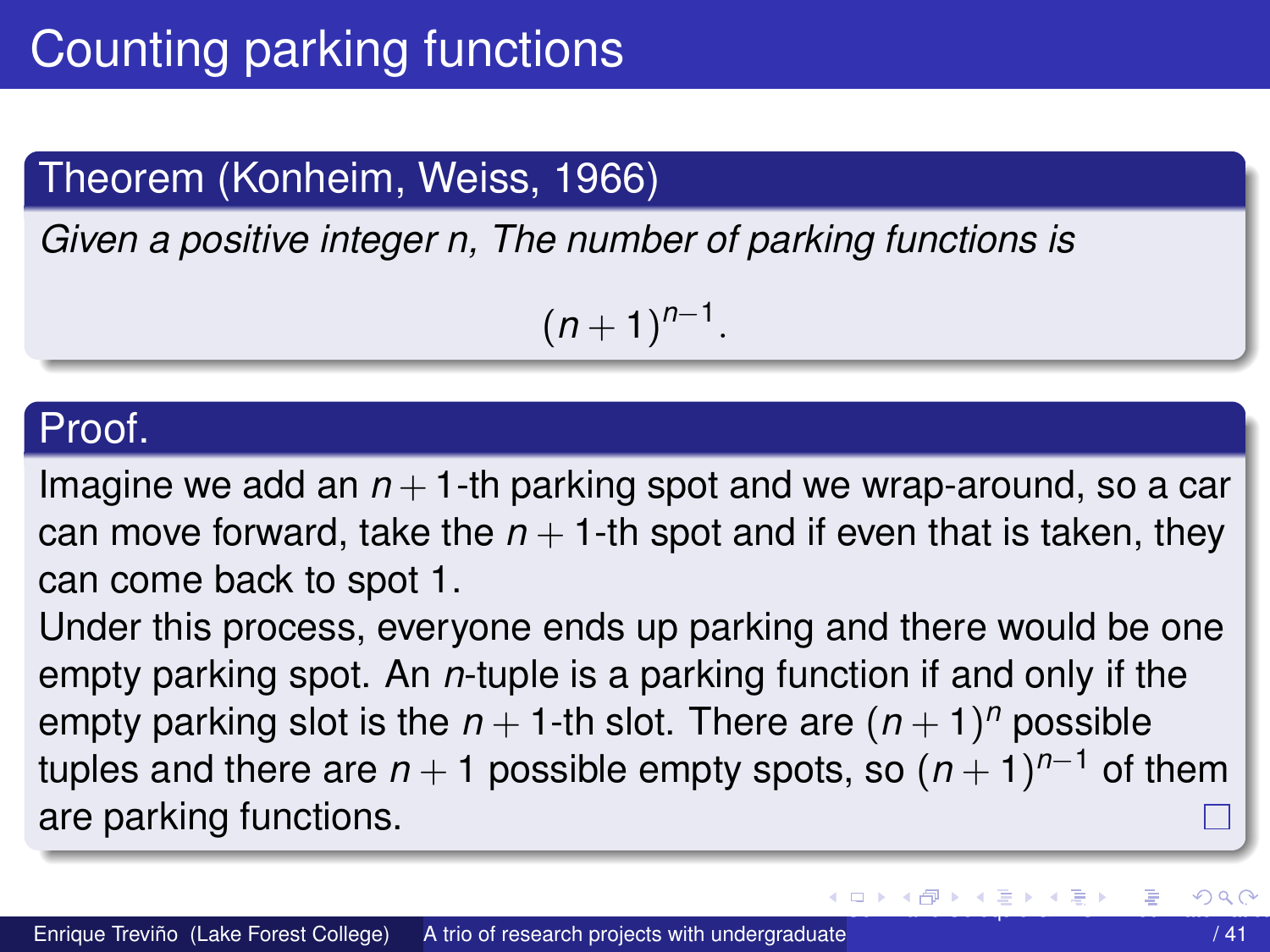## <span id="page-30-0"></span>Theorem (Konheim, Weiss, 1966)

*Given a positive integer n, The number of parking functions is*

 $(n+1)^{n-1}$ .

#### Proof.

Imagine we add an  $n+1$ -th parking spot and we wrap-around, so a car can move forward, take the  $n + 1$ -th spot and if even that is taken, they can come back to spot 1.

Under this process, everyone ends up parking and there would be one empty parking spot. An *n*-tuple is a parking function if and only if the empty parking slot is the  $n+1$ -th slot. There are  $(n+1)^n$  possible tuples and there are *n* + 1 possible empty spots, so (*n* + 1) *<sup>n</sup>*−<sup>1</sup> of them are parking functions.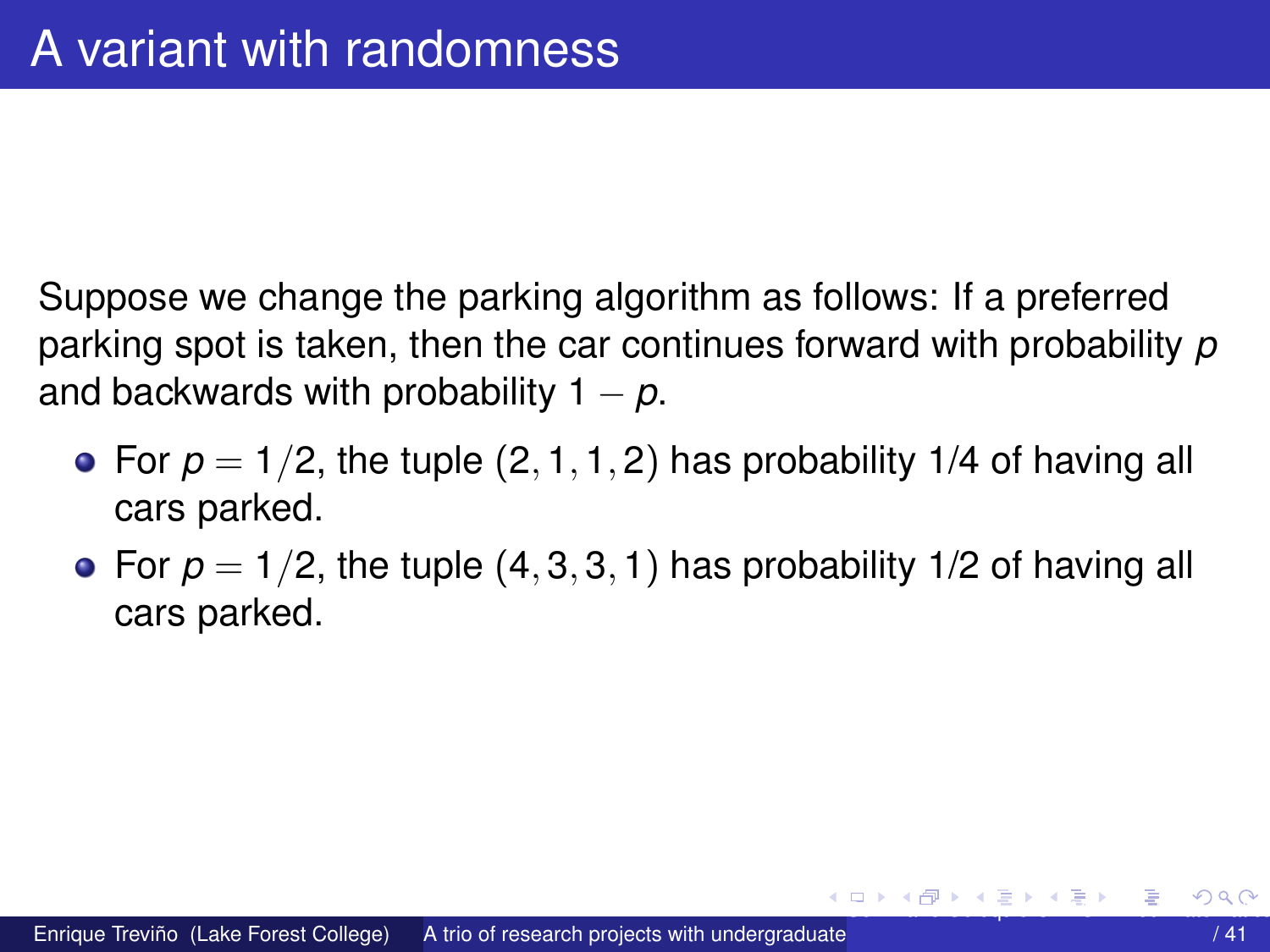<span id="page-31-0"></span>Suppose we change the parking algorithm as follows: If a preferred parking spot is taken, then the car continues forward with probability *p* and backwards with probability  $1 - p$ .

- For  $p = 1/2$ , the tuple  $(2, 1, 1, 2)$  has probability 1/4 of having all cars parked.
- For  $p = 1/2$ , the tuple  $(4, 3, 3, 1)$  has probability 1/2 of having all cars parked.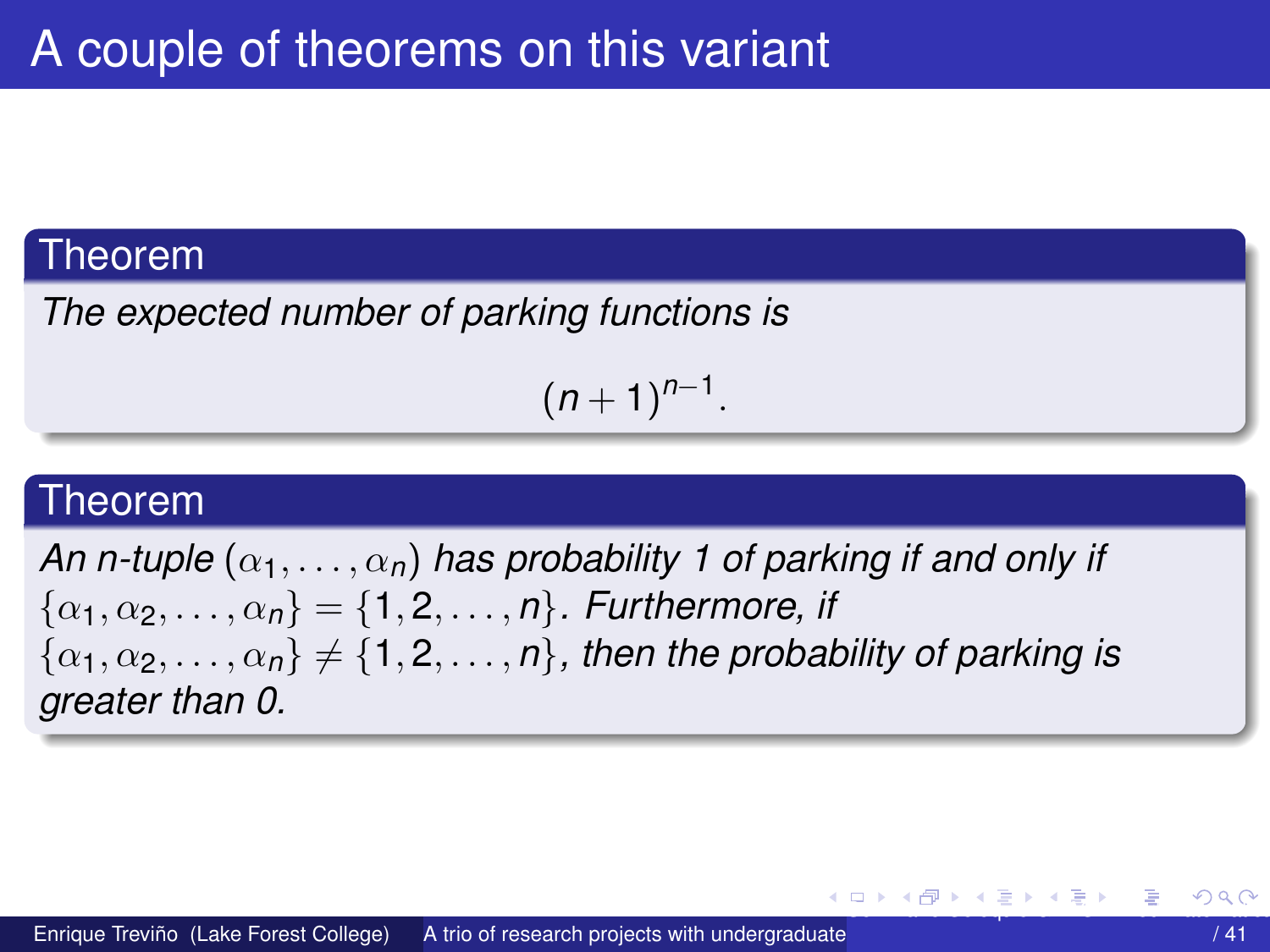#### <span id="page-32-0"></span>Theorem

The expected number of parking functions is

 $(n+1)^{n-1}$ .

#### Theorem

An n-tuple  $(\alpha_1,\ldots,\alpha_n)$  has probability 1 of parking if and only if  $\{\alpha_1, \alpha_2, \ldots, \alpha_n\} = \{1, 2, \ldots, n\}$ . Furthermore, if  $\{\alpha_1, \alpha_2, \ldots, \alpha_n\} \neq \{1, 2, \ldots, n\}$ , then the probability of parking is greater than 0.

4 0 8 4 6 8 4 9 8 4 9 8 1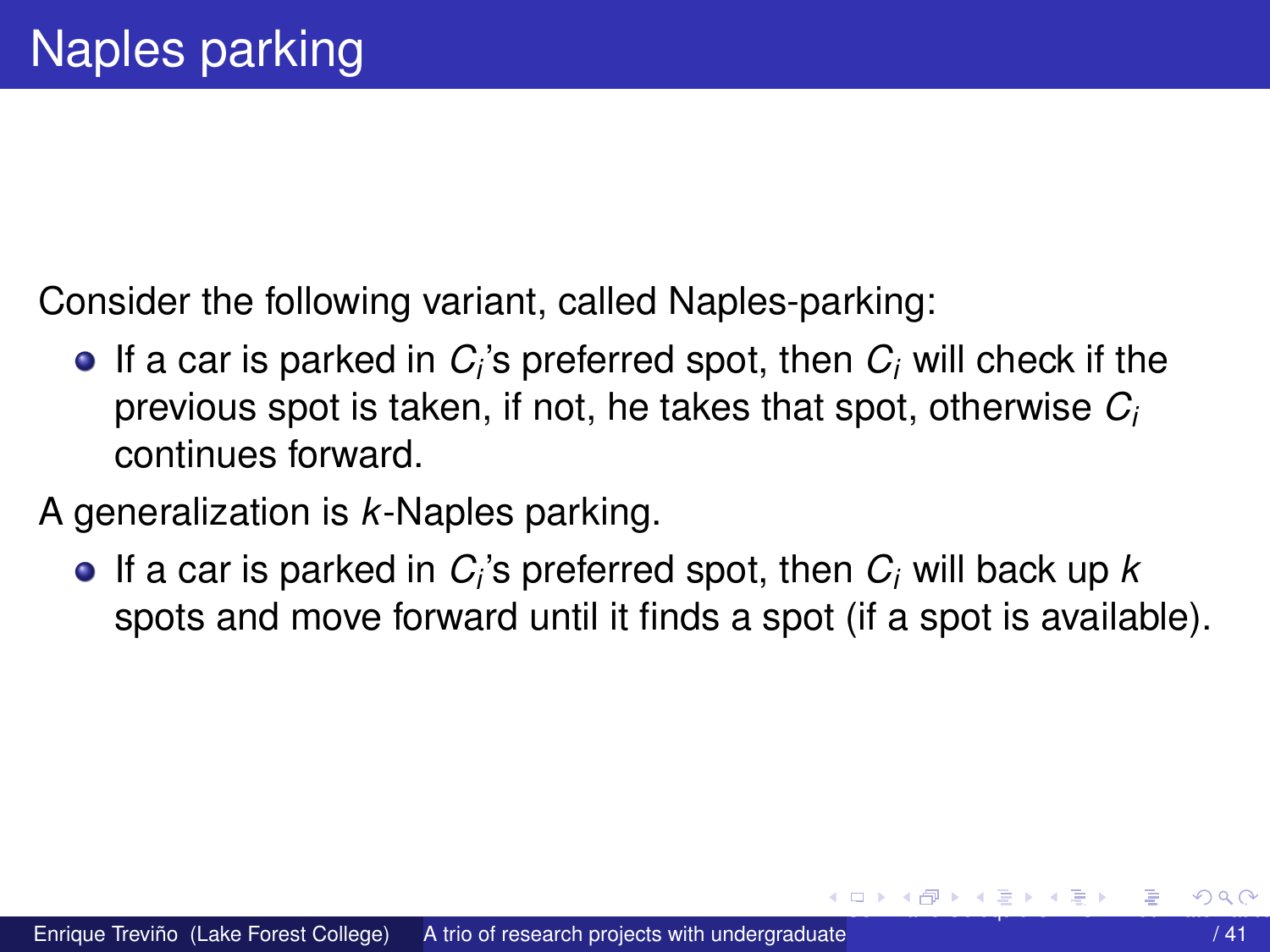<span id="page-33-0"></span>Consider the following variant, called Naples-parking:

- If a car is parked in  $C_i$ 's preferred spot, then  $C_i$  will check if the previous spot is taken, if not, he takes that spot, otherwise *C<sup>i</sup>* continues forward.
- A generalization is *k*-Naples parking.
	- If a car is parked in *C<sup>i</sup>* 's preferred spot, then *C<sup>i</sup>* will back up *k* spots and move forward until it finds a spot (if a spot is available).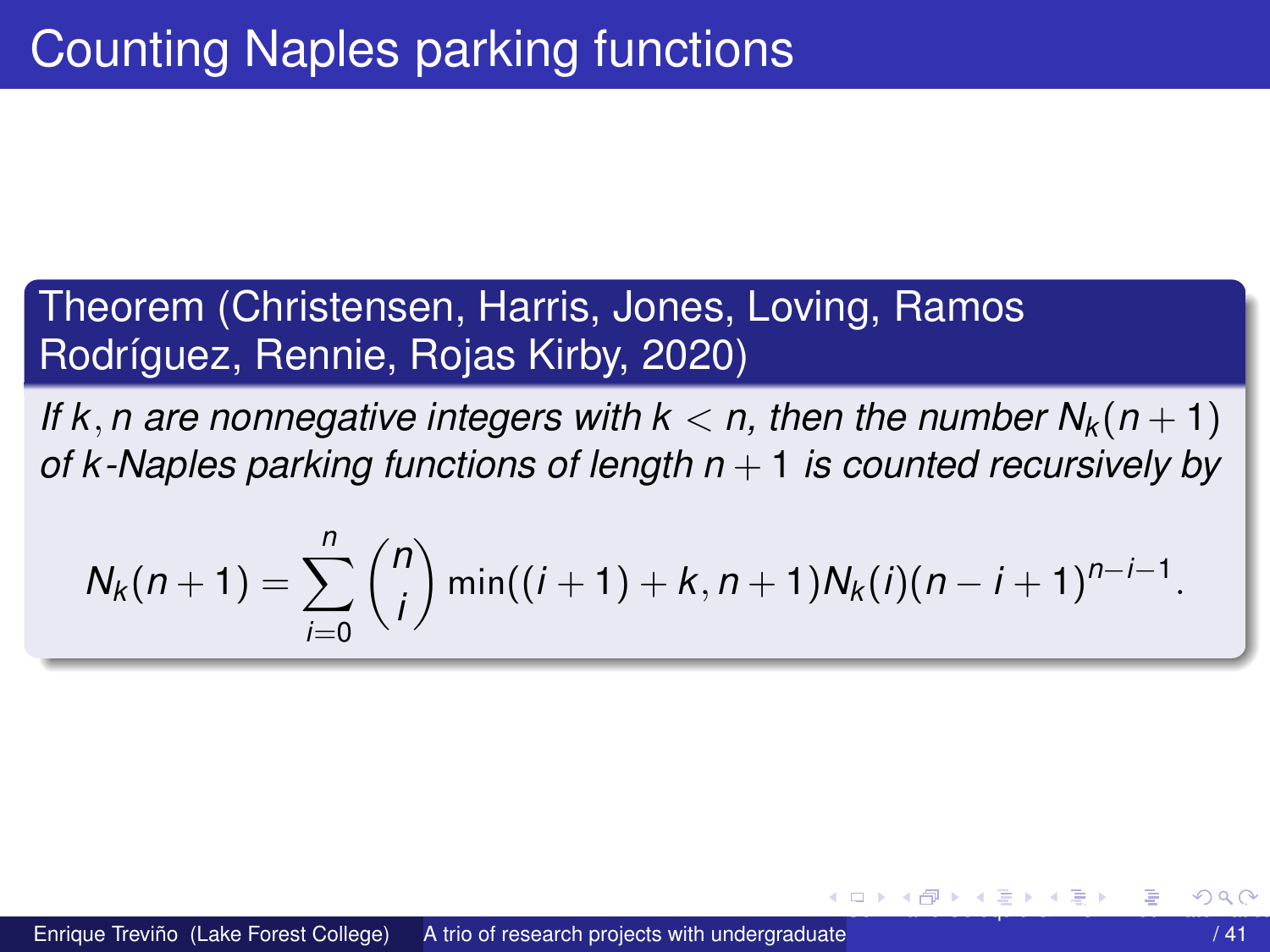<span id="page-34-0"></span>Theorem (Christensen, Harris, Jones, Loving, Ramos Rodríguez, Rennie, Rojas Kirby, 2020)

*If* k, *n* are nonnegative integers with  $k < n$ , then the number  $N_k(n + 1)$ *of k -Naples parking functions of length n* + 1 *is counted recursively by*

$$
N_k(n+1) = \sum_{i=0}^n \binom{n}{i} \min((i+1)+k, n+1)N_k(i)(n-i+1)^{n-i-1}.
$$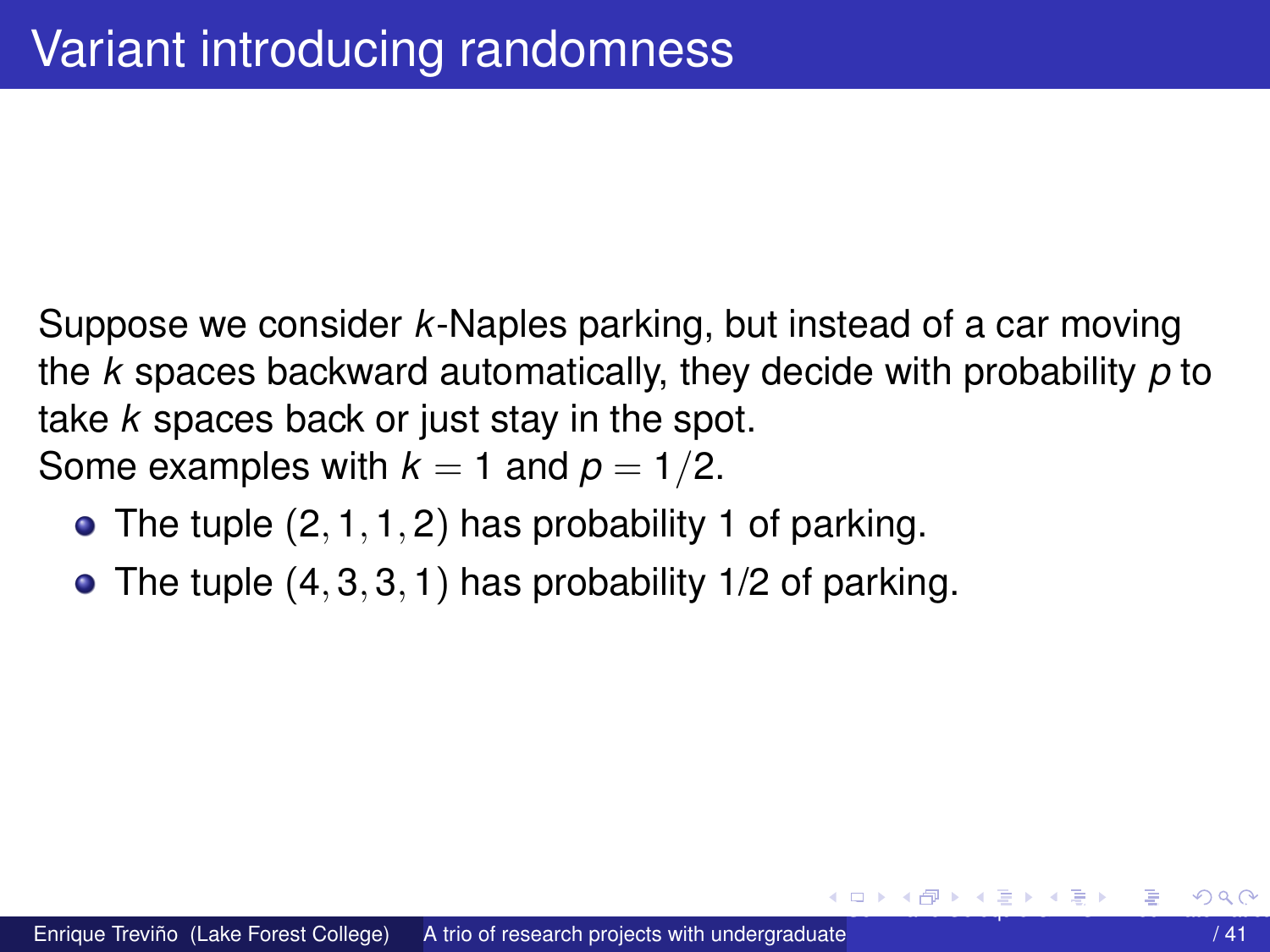<span id="page-35-0"></span>Suppose we consider *k*-Naples parking, but instead of a car moving the *k* spaces backward automatically, they decide with probability *p* to take *k* spaces back or just stay in the spot. Some examples with  $k = 1$  and  $p = 1/2$ .

- The tuple  $(2, 1, 1, 2)$  has probability 1 of parking.
- $\bullet$  The tuple  $(4, 3, 3, 1)$  has probability 1/2 of parking.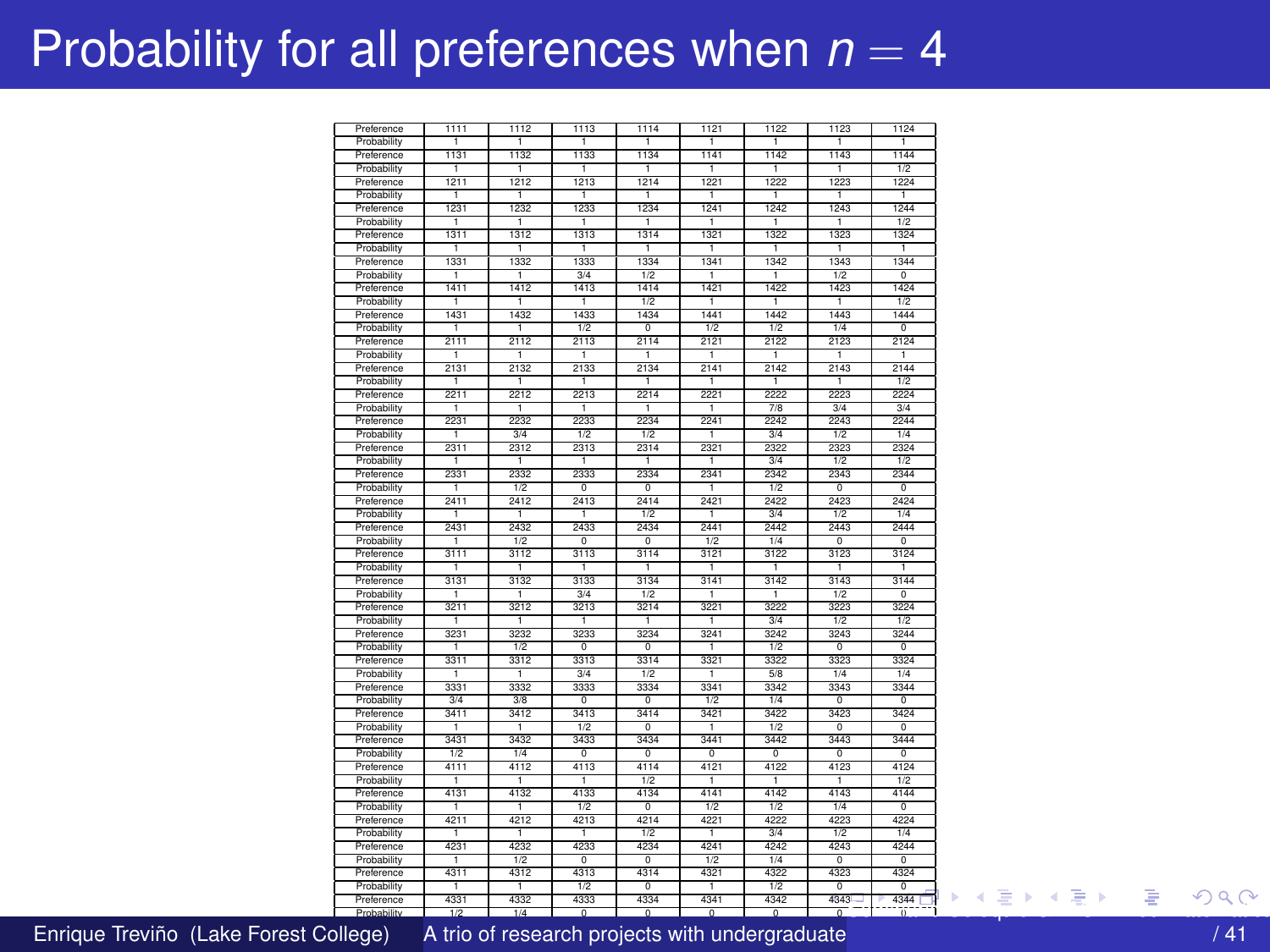## <span id="page-36-0"></span>Probability for all preferences when  $n = 4$

| Preference                | 1111             | 1112           | 1113               | 1114                     | 1121                   | 1122           | 1123               | 1124               |
|---------------------------|------------------|----------------|--------------------|--------------------------|------------------------|----------------|--------------------|--------------------|
| Probability               | т                | Τ              | T                  | т                        | T                      | ℸ              | ℸ                  | т                  |
| Preference                | 1131             | 1132           | 1133               | 1134                     | 1141                   | 1142           | 1143               | 1144               |
| Probability               | т                | ٦              | T                  | т                        | ٦                      | ٦              | ٦                  | 1/2                |
| Preference                | 1211             | 1212           | 1213               | 1214                     | 1221                   | 1222           | 1223               | 1224               |
| Probability               | $\overline{1}$   | $\overline{1}$ | $\overline{1}$     | $\overline{1}$           | $\overline{1}$         | $\overline{1}$ | $\overline{1}$     | $\overline{1}$     |
| Preference                | 1231             | 1232           | 1233               | 1234                     | 1241                   | 1242           | 1243               | 1244               |
| Probability               | T                | ℸ              | $\overline{1}$     | т                        | ℸ                      | T              | T                  | 1/2                |
| Preference                | 1311             | 1312           | 1313               | 1314                     | 1321                   | 1322           | 1323               | 1324               |
| Probability               | -1.              | -1.            | -1.                | -1                       | -1.                    | -1             | -1.                | -1.                |
| Preference                | 1331             | 1332           | 1333               | 1334                     | 1341                   | 1342           | 1343               | 1344               |
| Probability               | ٠                | 1              | 3/4                | 1/2                      | -1                     | Ŧ              | 1/2                | $\overline{0}$     |
| Preference                | 1411             | 1412           | 1413               | 1414                     | 1421                   | 1422           | 1423               | 1424               |
| Probability               | T                | $\overline{1}$ | $\overline{1}$     | 1/2                      | $\overline{1}$         | $\overline{1}$ | $\overline{1}$     | 1/2                |
| Preference                | 1431             | 1432           | 1433               | 1434                     | 1441                   | 1442           | 1443               | 1444               |
| Probability               | Ŧ                | T              | 1/2                | $\overline{\circ}$       | $\overline{1/2}$       | 1/2            | 1/4                | $\overline{\circ}$ |
| Preference                | 2111             | 2112           | 2113               | 2114                     | 2121                   | 2122           | 2123               | 2124               |
| Probability               | ٠                | -1             | ٦                  | ٠                        | 1                      | 1              | 1                  | т                  |
| Preference                | 2131             | 2132           | 2133               | 2134                     | 2141                   | 2142           | 2143               | 2144               |
| Probability               | т                | п              | ī                  | т                        | т                      | п              | ī                  | 1/2                |
| Preference                | 2211             | 2212           | 2213               | 2214                     | 2221                   | 2222           | 2223               | 2224               |
| Probability               | ٠                | -1             | -1                 | ٠                        | -1                     | 7/8            | 3/4                | 2/d                |
| Preference                | 2231             | 2232           | 2233               | 2234                     | 2241                   | 2242           | 2243               | 2244               |
| Probability               | Ŧ                | 3/4            | 1/2                | 1/2                      | T                      | 3/4            | 1/2                | 1/4                |
| Preference                | 2311             | 2312           | 2313               | 2314                     | 2321                   | 2322           | 2323               | 2324               |
| Probability               |                  |                | Ŧ                  | 1                        | 1                      | 3/4            | 1/2                | 1/2                |
| Preference                | 2331             | 2332           | 2333               | 2334                     | 2341                   | 2342           | 2343               | 2344               |
| Probability               | ī                | 1/2            | $\overline{0}$     | $\overline{0}$           | т                      | 1/2            | $\overline{0}$     | $\overline{0}$     |
| Preference                | 2411             | 2412           | 2413               | 2414                     | 2421                   | 2422           | 2423               | 2424               |
| Probability               | Ŧ                | T              | T                  | $\overline{1/2}$         | T                      | 3/4            | 1/2                | 1/4                |
| Preference                | 2431             | 2432           | 2433               | 2434                     | 2441                   | 2442           | 2443               | 2444               |
| Probability               | ٠                | 1/2            | o                  | $\overline{0}$           | 1/2                    | 1/4            | o                  | $\overline{0}$     |
| Preference                | 3111             | 3112           | 3113               | 3114                     | 3121                   | 3122           | 3123               | 3124               |
| Probability               |                  | п              | -1                 | 1                        | -1                     | п              | п                  | 1                  |
| Preference                | 3131             | 3132           | 3133               | 3134                     | 3141                   | 3142           | 3143               | 3144               |
| Probability               | 1                | 7              | 3/4                | 1/2                      | 1                      | $\overline{1}$ | 1/2                | $\overline{0}$     |
| Preference                | 3211             | 3212           | 3213               | 3214                     | 3221                   | 3222           | 3223               | 3224               |
| Probability               | т                | ٦              | Ŧ                  | т                        | T                      | 3/4            | $\overline{1/2}$   | 1/2                |
| Preference                | 3231             | 3232           | 3233               | 3234                     | 3241                   | 3242           | 3243               | 3244               |
| Probability               | 1                | 1/2            | $\overline{\circ}$ | ō                        | -1                     | 1/2            | $\overline{\circ}$ | $\overline{\circ}$ |
| Preference                | 3311             | 3312           | 3313               | 3314                     | 3321                   | 3322           | 3323               | 3324               |
| Probability               | ī                | ī              | 3/4                | 1/2                      |                        | 58             | 1/4                | 1/4                |
| Preference                | 3331             | 3332           | 3333               | 3334                     | 3341                   | 3342           | 3343               | 3344               |
| Probability               | 3/4              | 3/8            | $\overline{\circ}$ | $\overline{\circ}$       | 1/2                    | 1/4            | $\overline{\circ}$ | $\overline{\circ}$ |
| Preference                | 3411             | 3412           | 3413               | 3414                     | 3421                   | 3422           | 3423               | 3424               |
| Probability               | т                | ℸ              | 1/2                | n                        | ٦                      | 1/2            | n                  | n                  |
| Preference                | 3431             | 3432           | 3433               | 3434                     | 3441                   | 3442           | 3443               | 3444               |
| Probability               | 1/2              | 1/4            | o                  | $\overline{0}$           | $^{\circ}$             | o              | o                  | $\circ$            |
| Preference                | 4111             | 4112           | 4113               | 4114                     | 4121                   | 4122           | 4123               | 4124               |
|                           | Ŧ                | ٦              | $\overline{1}$     | 1/2                      | $\overline{1}$         | ٦              | $\overline{1}$     | 1/2                |
| Probability<br>Preference | 4131             | 4132           | 4133               | 4134                     | 4141                   | 4142           | 4143               | 4144               |
| Probability               | т                | ℸ              | 1/2                | $\overline{0}$           | 1/2                    | 1/2            | 1/4                | $\overline{\circ}$ |
| Preference                | 4211             | 4212           | 4213               | 4214                     | 4221                   | 4222           | 4223               | 4224               |
| Probability               | -1               | -1             | T                  | $\overline{1/2}$         | -1                     | 3/4            | 1/2                | 1/4                |
| Preference                | 4231             | 4232           | 4233               | 4234                     | 4241                   | 4242           | 4243               | 4244               |
|                           |                  | 1/2            | o                  | $^{\circ}$               | 1/2                    | 1/4            | o                  | $^{\circ}$         |
| Probability               | т                |                |                    |                          |                        |                |                    |                    |
| Preference                | 4311             | 4312           | 4313               | 4314                     | 4321                   | 4322           | 4323               | 4324               |
| Probability               | T                | $\overline{1}$ | 1/2                | $\overline{\circ}$       | T                      | 1/2            | $\overline{0}$     | $\overline{\circ}$ |
| Preference                | 4331             | 4332           | 4333               | 4334                     | 4341<br>$\overline{a}$ | 4342<br>ᅲ      | $4343 -$           | 4344<br>٦ī         |
| Probability               | $\overline{1/2}$ | 1/4            | $\overline{a}$     | $\overline{\phantom{a}}$ |                        |                | $\overline{a}$     |                    |

Enrique Treviño (Lake Forest College) A trio of research projects with undergraduate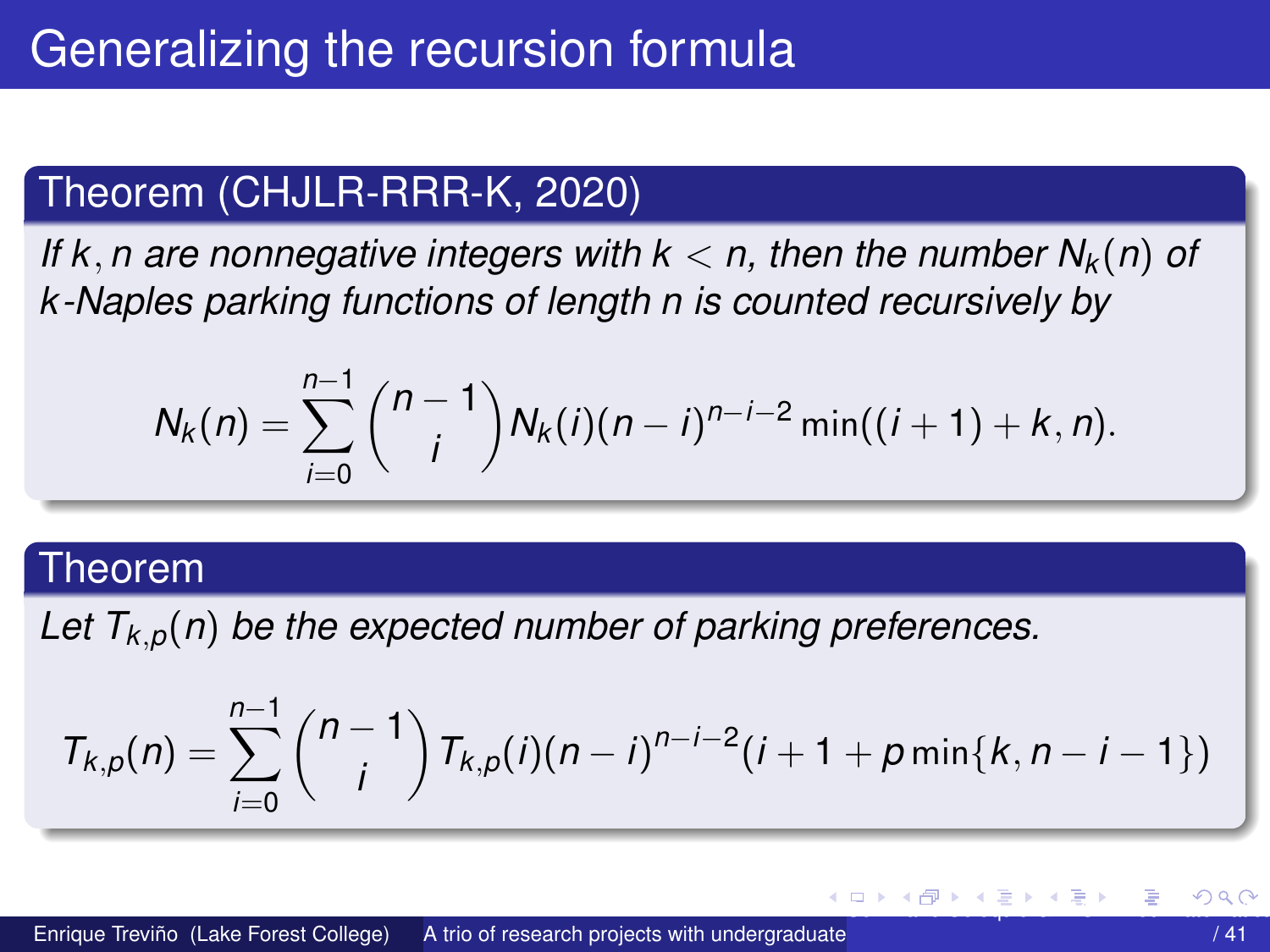## <span id="page-37-0"></span>Theorem (CHJLR-RRR-K, 2020)

*If* k, *n* are nonnegative integers with  $k < n$ , then the number  $N_k(n)$  of *k -Naples parking functions of length n is counted recursively by*

$$
N_k(n) = \sum_{i=0}^{n-1} {n-1 \choose i} N_k(i)(n-i)^{n-i-2} \min((i+1)+k, n).
$$

#### Theorem

Let  $T_{k,p}(n)$  be the expected number of parking preferences.

$$
T_{k,p}(n) = \sum_{i=0}^{n-1} {n-1 \choose i} T_{k,p}(i)(n-i)^{n-i-2}(i+1+p\min\{k,n-i-1\})
$$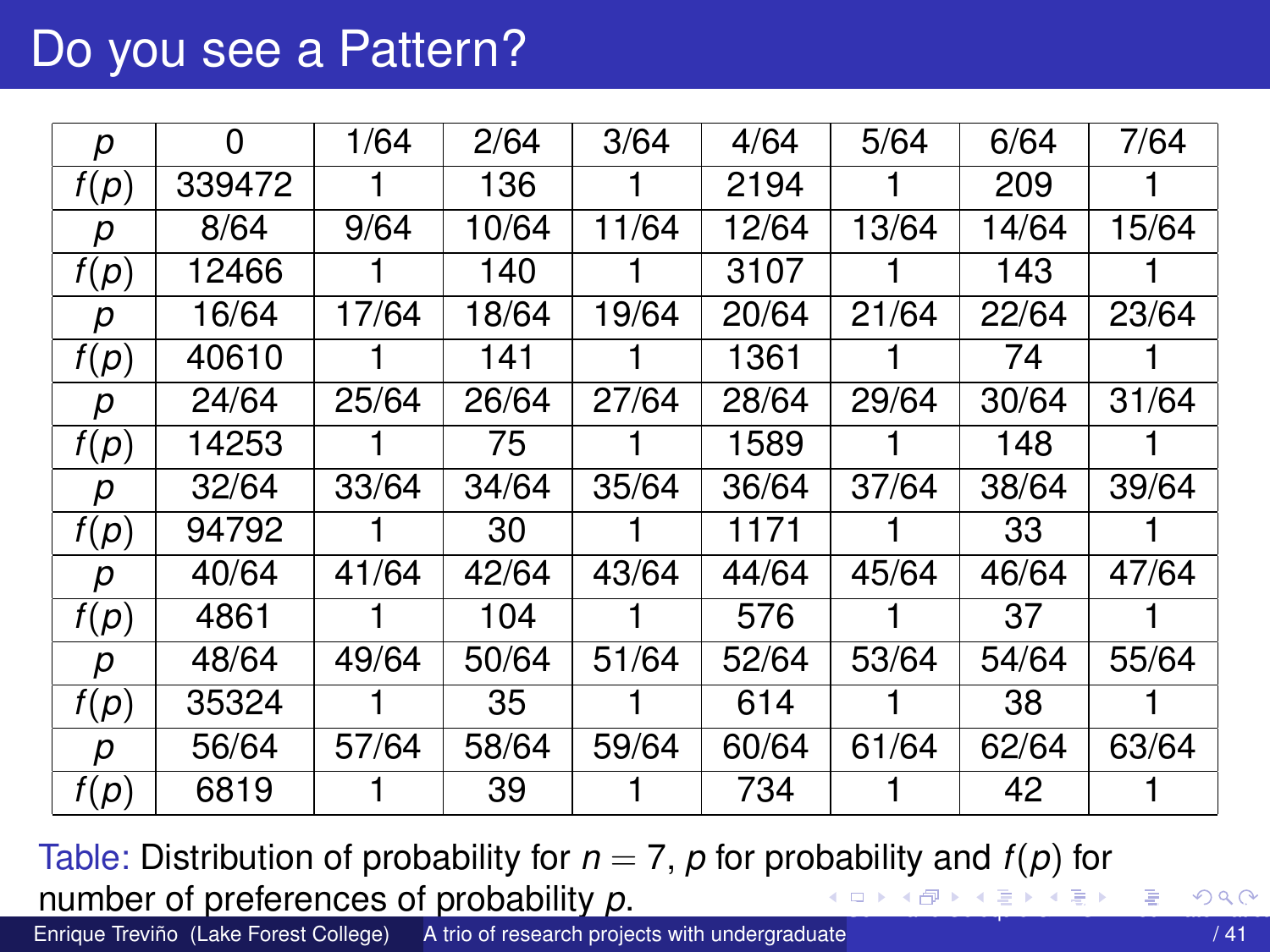## <span id="page-38-0"></span>Do you see a Pattern?

| р    | 0      | 1/64  | 2/64  | 3/64  | 4/64  | 5/64  | 6/64  | 7/64  |
|------|--------|-------|-------|-------|-------|-------|-------|-------|
| f(p) | 339472 |       | 136   |       | 2194  |       | 209   |       |
| р    | 8/64   | 9/64  | 10/64 | 11/64 | 12/64 | 13/64 | 14/64 | 15/64 |
| f(p) | 12466  |       | 140   |       | 3107  |       | 143   |       |
| р    | 16/64  | 17/64 | 18/64 | 19/64 | 20/64 | 21/64 | 22/64 | 23/64 |
| f(p) | 40610  |       | 141   |       | 1361  |       | 74    |       |
| р    | 24/64  | 25/64 | 26/64 | 27/64 | 28/64 | 29/64 | 30/64 | 31/64 |
| f(p) | 14253  |       | 75    |       | 1589  |       | 148   |       |
| р    | 32/64  | 33/64 | 34/64 | 35/64 | 36/64 | 37/64 | 38/64 | 39/64 |
| f(p) | 94792  |       | 30    |       | 1171  |       | 33    |       |
| р    | 40/64  | 41/64 | 42/64 | 43/64 | 44/64 | 45/64 | 46/64 | 47/64 |
| f(p) | 4861   |       | 104   |       | 576   |       | 37    |       |
| р    | 48/64  | 49/64 | 50/64 | 51/64 | 52/64 | 53/64 | 54/64 | 55/64 |
| f(p) | 35324  |       | 35    |       | 614   |       | 38    |       |
| р    | 56/64  | 57/64 | 58/64 | 59/64 | 60/64 | 61/64 | 62/64 | 63/64 |
| f(p) | 6819   |       | 39    |       | 734   |       | 42    |       |

Table: Distribution of probability for  $n = 7$ ,  $p$  for probability and  $f(p)$  for number of preferences of probability *p*. [S](#page-37-0)[emi](#page-39-0)[na](#page-37-0)[rio](#page-38-0) [C](#page-39-0)[oloq](#page-0-0)[uio](#page-40-0) [GRA](#page-0-0)[CIA](#page-40-0)[-Re](#page-0-0)[d Ma](#page-40-0)temática 39 a Coloquio GRACIA-Red Matemática 39 a Coloquio GRACIA-Red Matemática 39 a Coloquio GRACIA-Red Matemática 39 a Coloquio GRACIA-Red Matemática 39 a Coloquio GRACIA-Red Matemática 3

Enrique Treviño (Lake Forest College) A trio of research projects with undergraduate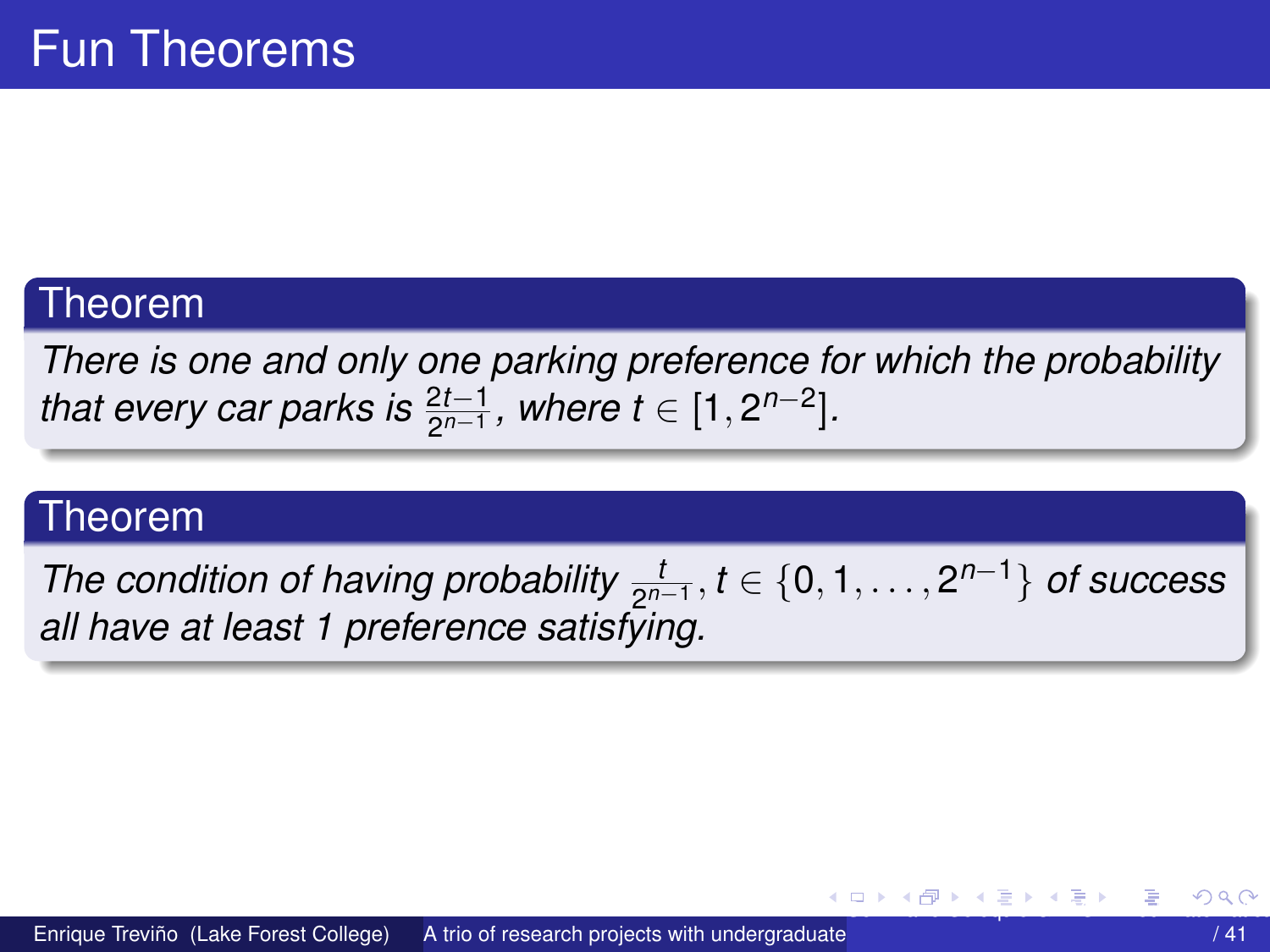#### <span id="page-39-0"></span>Theorem

*There is one and only one parking preference for which the probability that every car parks is*  $\frac{2t-1}{2^{n-1}}$ *, where t* ∈ [1,2<sup>*n*-2</sup>].

#### Theorem

*The condition of having probability*  $\frac{t}{2^{n-1}}$ ,  $t \in \{0, 1, \ldots, 2^{n-1}\}$  *of success all have at least 1 preference satisfying.*